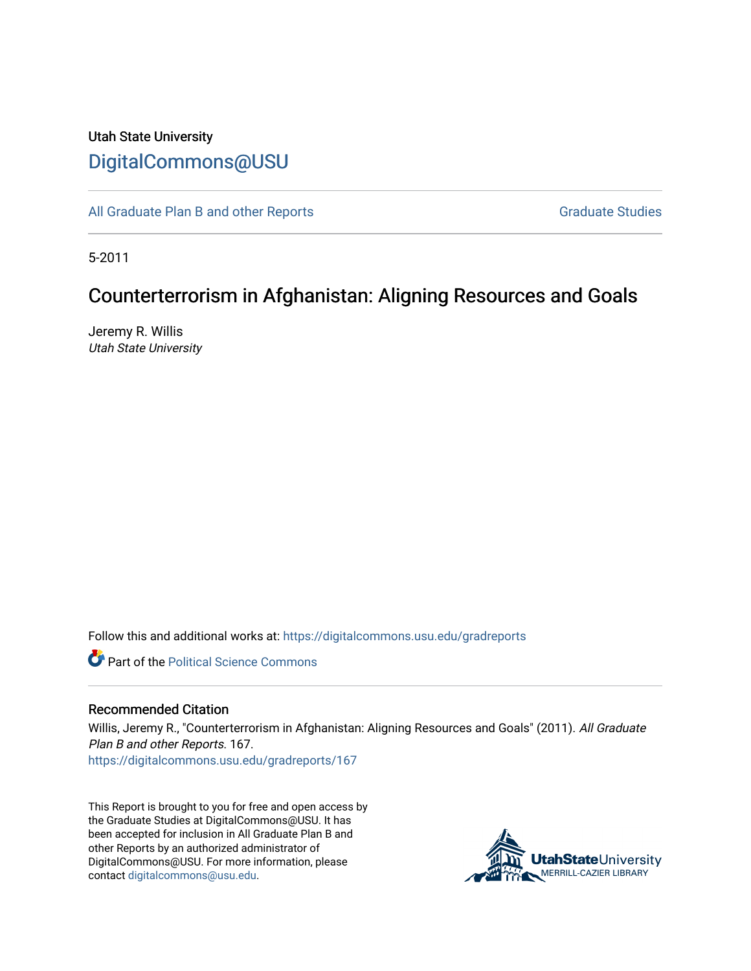## Utah State University [DigitalCommons@USU](https://digitalcommons.usu.edu/)

[All Graduate Plan B and other Reports](https://digitalcommons.usu.edu/gradreports) **Graduate Studies** Graduate Studies

5-2011

# Counterterrorism in Afghanistan: Aligning Resources and Goals

Jeremy R. Willis Utah State University

Follow this and additional works at: [https://digitalcommons.usu.edu/gradreports](https://digitalcommons.usu.edu/gradreports?utm_source=digitalcommons.usu.edu%2Fgradreports%2F167&utm_medium=PDF&utm_campaign=PDFCoverPages)

**C** Part of the Political Science Commons

#### Recommended Citation

Willis, Jeremy R., "Counterterrorism in Afghanistan: Aligning Resources and Goals" (2011). All Graduate Plan B and other Reports. 167.

[https://digitalcommons.usu.edu/gradreports/167](https://digitalcommons.usu.edu/gradreports/167?utm_source=digitalcommons.usu.edu%2Fgradreports%2F167&utm_medium=PDF&utm_campaign=PDFCoverPages)

This Report is brought to you for free and open access by the Graduate Studies at DigitalCommons@USU. It has been accepted for inclusion in All Graduate Plan B and other Reports by an authorized administrator of DigitalCommons@USU. For more information, please contact [digitalcommons@usu.edu](mailto:digitalcommons@usu.edu).

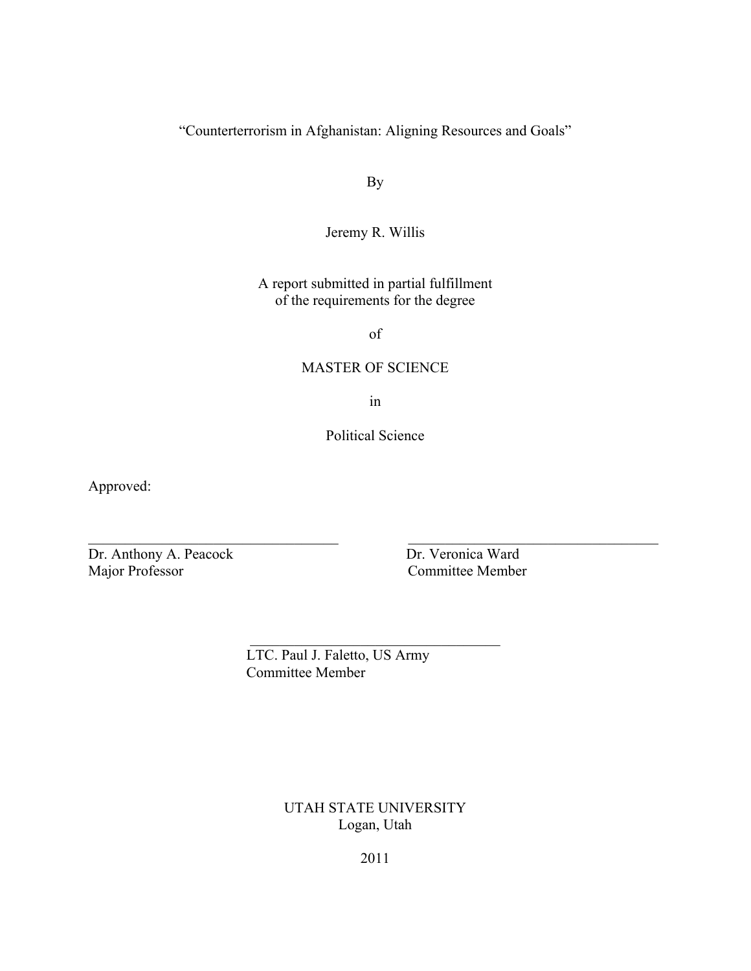"Counterterrorism in Afghanistan: Aligning Resources and Goals"

By

Jeremy R. Willis

A report submitted in partial fulfillment of the requirements for the degree

of

#### MASTER OF SCIENCE

in

Political Science

 $\_$  , and the contribution of the contribution of  $\overline{\mathcal{L}}$  , and  $\overline{\mathcal{L}}$  , and  $\overline{\mathcal{L}}$  , and  $\overline{\mathcal{L}}$ 

 $\mathcal{L}_\text{max}$  , where  $\mathcal{L}_\text{max}$  and  $\mathcal{L}_\text{max}$  and  $\mathcal{L}_\text{max}$ 

Approved:

Dr. Anthony A. Peacock Dr. Veronica Ward<br>
Major Professor Committee Member

Committee Member

 LTC. Paul J. Faletto, US Army Committee Member

> UTAH STATE UNIVERSITY Logan, Utah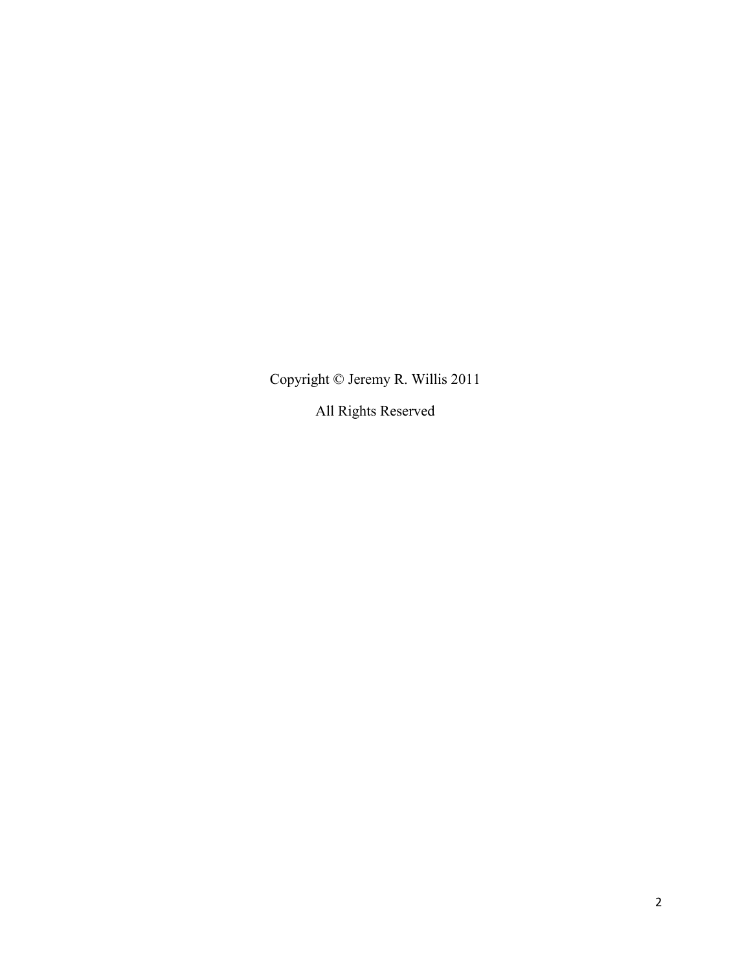Copyright © Jeremy R. Willis 2011

All Rights Reserved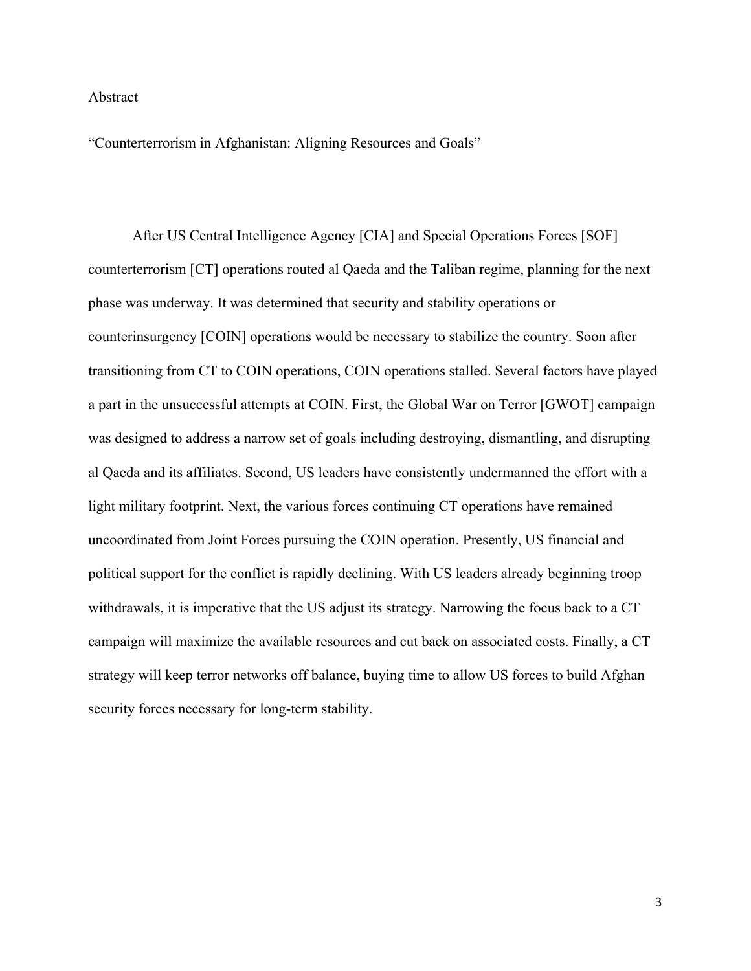#### Abstract

"Counterterrorism in Afghanistan: Aligning Resources and Goals"

After US Central Intelligence Agency [CIA] and Special Operations Forces [SOF] counterterrorism [CT] operations routed al Qaeda and the Taliban regime, planning for the next phase was underway. It was determined that security and stability operations or counterinsurgency [COIN] operations would be necessary to stabilize the country. Soon after transitioning from CT to COIN operations, COIN operations stalled. Several factors have played a part in the unsuccessful attempts at COIN. First, the Global War on Terror [GWOT] campaign was designed to address a narrow set of goals including destroying, dismantling, and disrupting al Qaeda and its affiliates. Second, US leaders have consistently undermanned the effort with a light military footprint. Next, the various forces continuing CT operations have remained uncoordinated from Joint Forces pursuing the COIN operation. Presently, US financial and political support for the conflict is rapidly declining. With US leaders already beginning troop withdrawals, it is imperative that the US adjust its strategy. Narrowing the focus back to a CT campaign will maximize the available resources and cut back on associated costs. Finally, a CT strategy will keep terror networks off balance, buying time to allow US forces to build Afghan security forces necessary for long-term stability.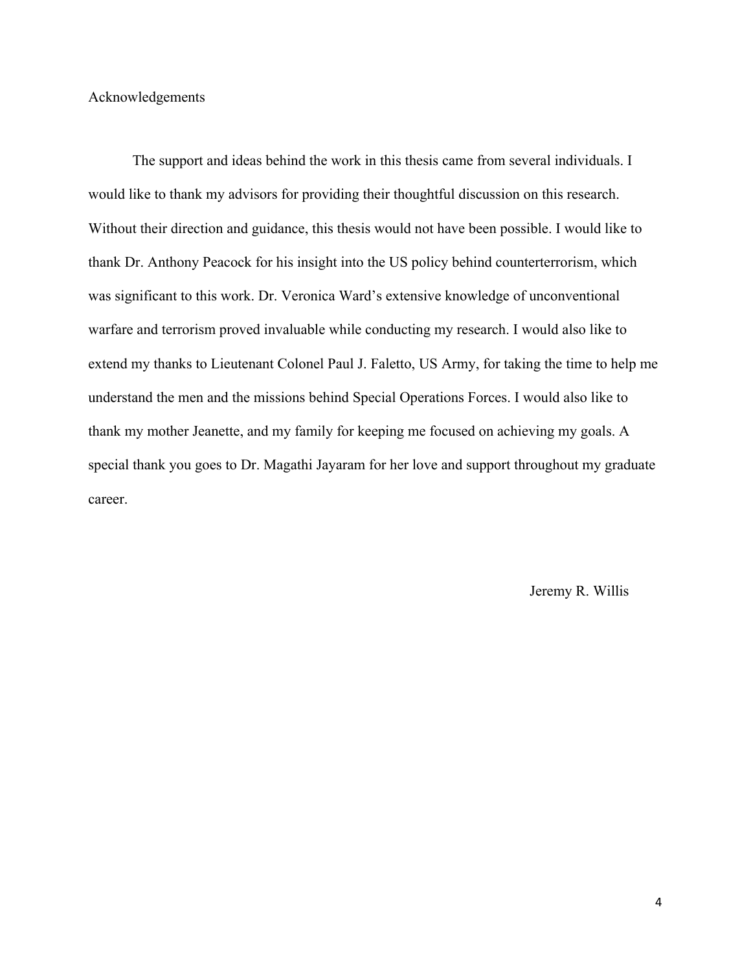#### Acknowledgements

The support and ideas behind the work in this thesis came from several individuals. I would like to thank my advisors for providing their thoughtful discussion on this research. Without their direction and guidance, this thesis would not have been possible. I would like to thank Dr. Anthony Peacock for his insight into the US policy behind counterterrorism, which was significant to this work. Dr. Veronica Ward's extensive knowledge of unconventional warfare and terrorism proved invaluable while conducting my research. I would also like to extend my thanks to Lieutenant Colonel Paul J. Faletto, US Army, for taking the time to help me understand the men and the missions behind Special Operations Forces. I would also like to thank my mother Jeanette, and my family for keeping me focused on achieving my goals. A special thank you goes to Dr. Magathi Jayaram for her love and support throughout my graduate career.

Jeremy R. Willis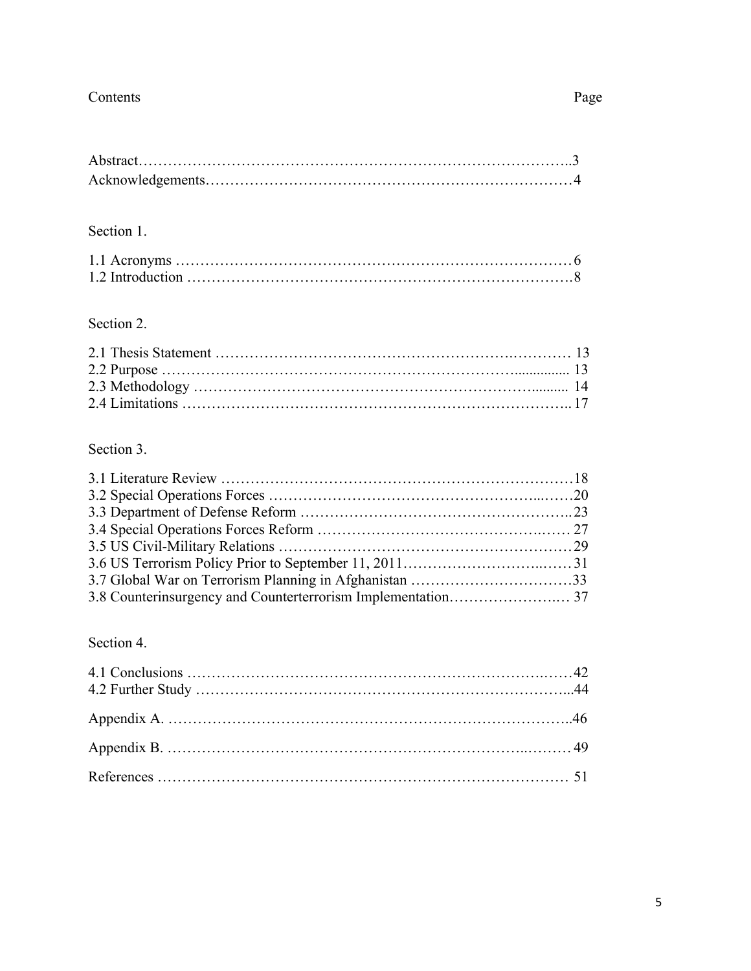### Contents Page

### Section 1.

### Section 2.

### Section 3.

### Section 4.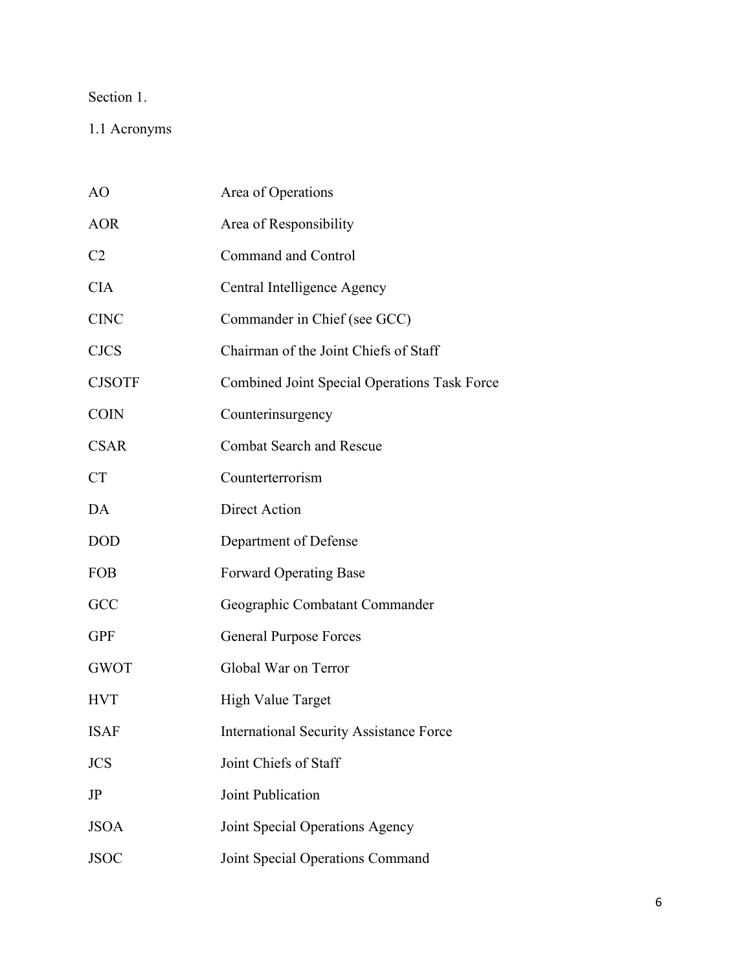### Section 1.

1.1 Acronyms

| AO             | Area of Operations                                  |
|----------------|-----------------------------------------------------|
| <b>AOR</b>     | Area of Responsibility                              |
| C <sub>2</sub> | Command and Control                                 |
| <b>CIA</b>     | Central Intelligence Agency                         |
| <b>CINC</b>    | Commander in Chief (see GCC)                        |
| <b>CJCS</b>    | Chairman of the Joint Chiefs of Staff               |
| <b>CJSOTF</b>  | <b>Combined Joint Special Operations Task Force</b> |
| <b>COIN</b>    | Counterinsurgency                                   |
| <b>CSAR</b>    | <b>Combat Search and Rescue</b>                     |
| <b>CT</b>      | Counterterrorism                                    |
| DA             | Direct Action                                       |
| <b>DOD</b>     | Department of Defense                               |
| <b>FOB</b>     | <b>Forward Operating Base</b>                       |
| GCC            | Geographic Combatant Commander                      |
| <b>GPF</b>     | <b>General Purpose Forces</b>                       |
| <b>GWOT</b>    | Global War on Terror                                |
| <b>HVT</b>     | <b>High Value Target</b>                            |
| <b>ISAF</b>    | <b>International Security Assistance Force</b>      |
| <b>JCS</b>     | Joint Chiefs of Staff                               |
| JP             | Joint Publication                                   |
| <b>JSOA</b>    | Joint Special Operations Agency                     |
| <b>JSOC</b>    | Joint Special Operations Command                    |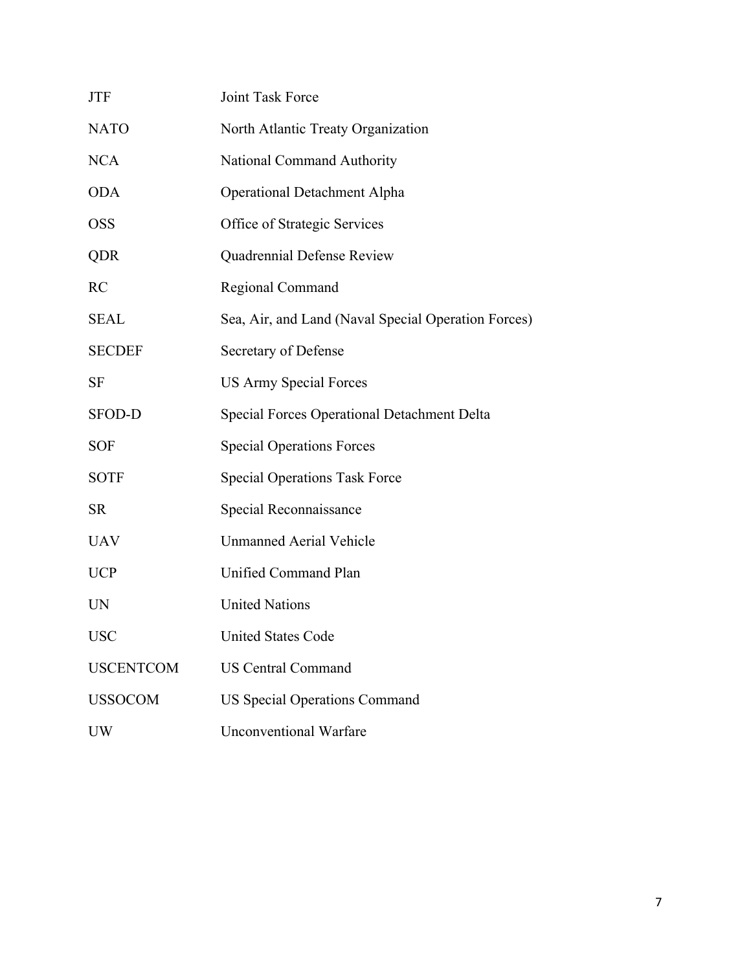| <b>JTF</b>       | Joint Task Force                                    |
|------------------|-----------------------------------------------------|
| <b>NATO</b>      | North Atlantic Treaty Organization                  |
| <b>NCA</b>       | National Command Authority                          |
| <b>ODA</b>       | <b>Operational Detachment Alpha</b>                 |
| <b>OSS</b>       | Office of Strategic Services                        |
| QDR              | Quadrennial Defense Review                          |
| <b>RC</b>        | Regional Command                                    |
| <b>SEAL</b>      | Sea, Air, and Land (Naval Special Operation Forces) |
| <b>SECDEF</b>    | Secretary of Defense                                |
| SF               | <b>US Army Special Forces</b>                       |
| <b>SFOD-D</b>    | <b>Special Forces Operational Detachment Delta</b>  |
| <b>SOF</b>       | <b>Special Operations Forces</b>                    |
| <b>SOTF</b>      | <b>Special Operations Task Force</b>                |
| <b>SR</b>        | Special Reconnaissance                              |
| <b>UAV</b>       | <b>Unmanned Aerial Vehicle</b>                      |
| <b>UCP</b>       | Unified Command Plan                                |
| <b>UN</b>        | <b>United Nations</b>                               |
| <b>USC</b>       | <b>United States Code</b>                           |
| <b>USCENTCOM</b> | <b>US Central Command</b>                           |
| <b>USSOCOM</b>   | <b>US Special Operations Command</b>                |
| <b>UW</b>        | <b>Unconventional Warfare</b>                       |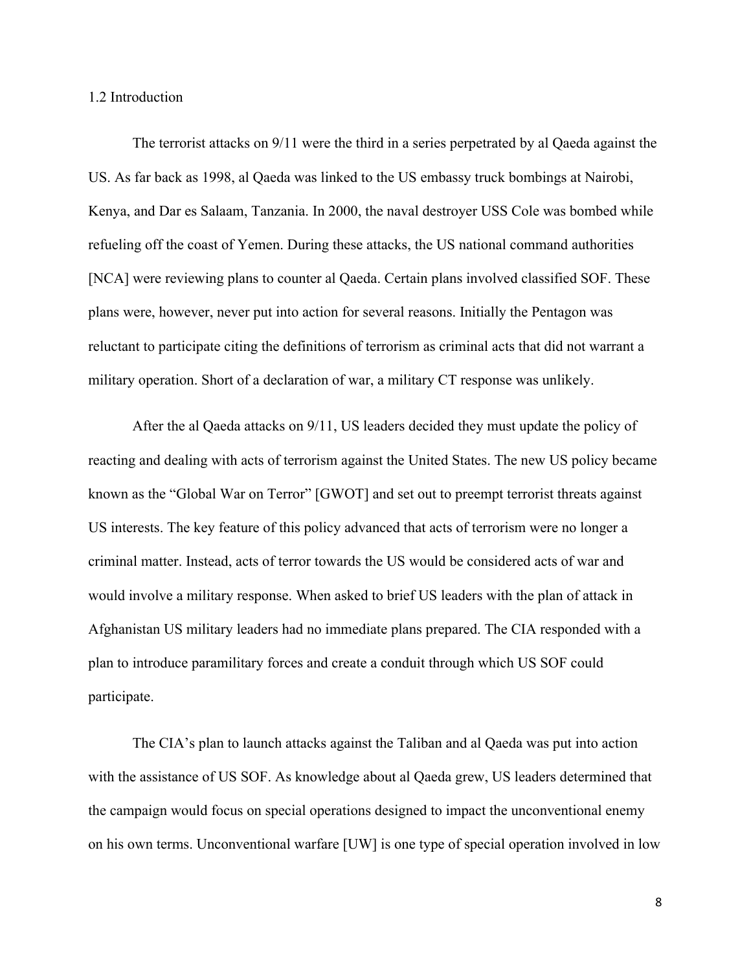#### 1.2 Introduction

The terrorist attacks on 9/11 were the third in a series perpetrated by al Qaeda against the US. As far back as 1998, al Qaeda was linked to the US embassy truck bombings at Nairobi, Kenya, and Dar es Salaam, Tanzania. In 2000, the naval destroyer USS Cole was bombed while refueling off the coast of Yemen. During these attacks, the US national command authorities [NCA] were reviewing plans to counter al Qaeda. Certain plans involved classified SOF. These plans were, however, never put into action for several reasons. Initially the Pentagon was reluctant to participate citing the definitions of terrorism as criminal acts that did not warrant a military operation. Short of a declaration of war, a military CT response was unlikely.

After the al Qaeda attacks on 9/11, US leaders decided they must update the policy of reacting and dealing with acts of terrorism against the United States. The new US policy became known as the "Global War on Terror" [GWOT] and set out to preempt terrorist threats against US interests. The key feature of this policy advanced that acts of terrorism were no longer a criminal matter. Instead, acts of terror towards the US would be considered acts of war and would involve a military response. When asked to brief US leaders with the plan of attack in Afghanistan US military leaders had no immediate plans prepared. The CIA responded with a plan to introduce paramilitary forces and create a conduit through which US SOF could participate.

The CIA's plan to launch attacks against the Taliban and al Qaeda was put into action with the assistance of US SOF. As knowledge about al Qaeda grew, US leaders determined that the campaign would focus on special operations designed to impact the unconventional enemy on his own terms. Unconventional warfare [UW] is one type of special operation involved in low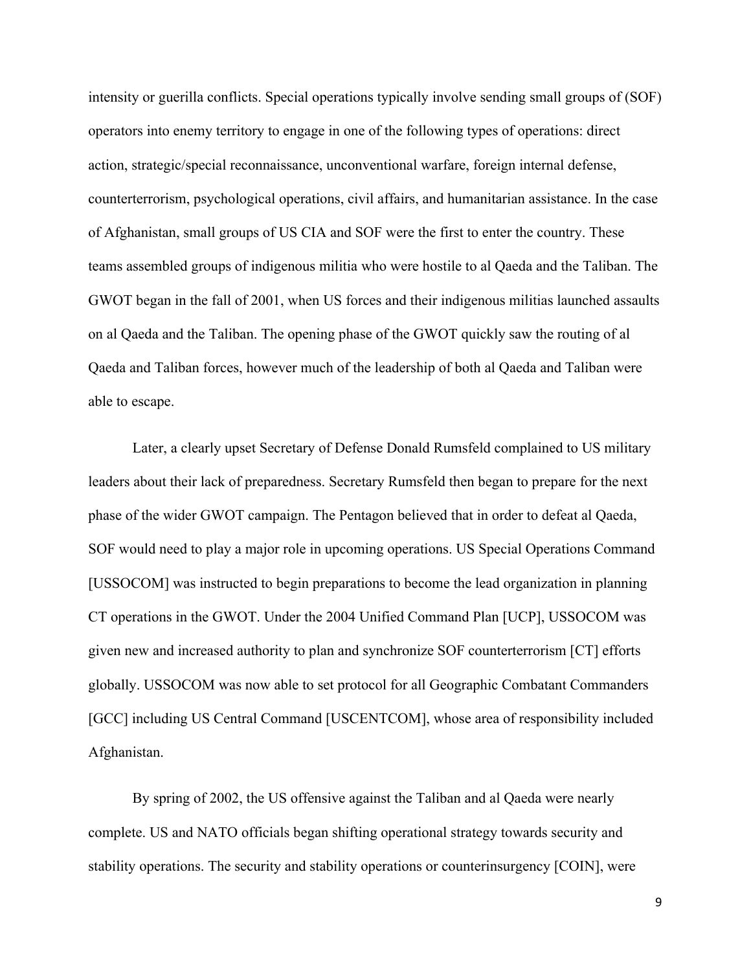intensity or guerilla conflicts. Special operations typically involve sending small groups of (SOF) operators into enemy territory to engage in one of the following types of operations: direct action, strategic/special reconnaissance, unconventional warfare, foreign internal defense, counterterrorism, psychological operations, civil affairs, and humanitarian assistance. In the case of Afghanistan, small groups of US CIA and SOF were the first to enter the country. These teams assembled groups of indigenous militia who were hostile to al Qaeda and the Taliban. The GWOT began in the fall of 2001, when US forces and their indigenous militias launched assaults on al Qaeda and the Taliban. The opening phase of the GWOT quickly saw the routing of al Qaeda and Taliban forces, however much of the leadership of both al Qaeda and Taliban were able to escape.

Later, a clearly upset Secretary of Defense Donald Rumsfeld complained to US military leaders about their lack of preparedness. Secretary Rumsfeld then began to prepare for the next phase of the wider GWOT campaign. The Pentagon believed that in order to defeat al Qaeda, SOF would need to play a major role in upcoming operations. US Special Operations Command [USSOCOM] was instructed to begin preparations to become the lead organization in planning CT operations in the GWOT. Under the 2004 Unified Command Plan [UCP], USSOCOM was given new and increased authority to plan and synchronize SOF counterterrorism [CT] efforts globally. USSOCOM was now able to set protocol for all Geographic Combatant Commanders [GCC] including US Central Command [USCENTCOM], whose area of responsibility included Afghanistan.

By spring of 2002, the US offensive against the Taliban and al Qaeda were nearly complete. US and NATO officials began shifting operational strategy towards security and stability operations. The security and stability operations or counterinsurgency [COIN], were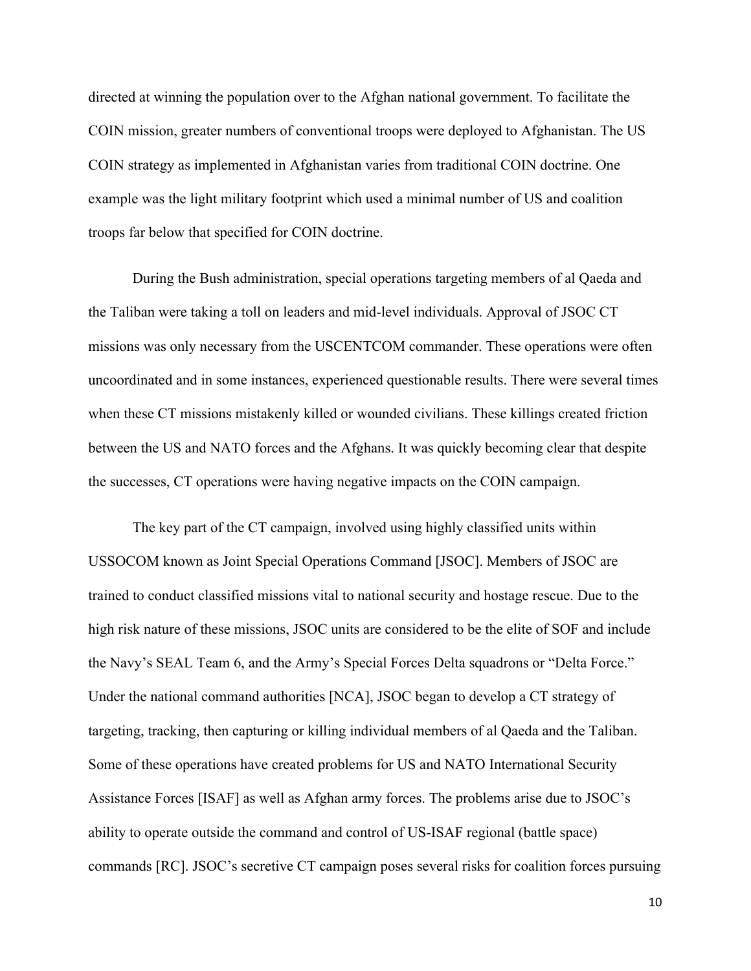directed at winning the population over to the Afghan national government. To facilitate the COIN mission, greater numbers of conventional troops were deployed to Afghanistan. The US COIN strategy as implemented in Afghanistan varies from traditional COIN doctrine. One example was the light military footprint which used a minimal number of US and coalition troops far below that specified for COIN doctrine.

During the Bush administration, special operations targeting members of al Qaeda and the Taliban were taking a toll on leaders and mid-level individuals. Approval of JSOC CT missions was only necessary from the USCENTCOM commander. These operations were often uncoordinated and in some instances, experienced questionable results. There were several times when these CT missions mistakenly killed or wounded civilians. These killings created friction between the US and NATO forces and the Afghans. It was quickly becoming clear that despite the successes, CT operations were having negative impacts on the COIN campaign.

The key part of the CT campaign, involved using highly classified units within USSOCOM known as Joint Special Operations Command [JSOC]. Members of JSOC are trained to conduct classified missions vital to national security and hostage rescue. Due to the high risk nature of these missions, JSOC units are considered to be the elite of SOF and include the Navy's SEAL Team 6, and the Army's Special Forces Delta squadrons or "Delta Force." Under the national command authorities [NCA], JSOC began to develop a CT strategy of targeting, tracking, then capturing or killing individual members of al Qaeda and the Taliban. Some of these operations have created problems for US and NATO International Security Assistance Forces [ISAF] as well as Afghan army forces. The problems arise due to JSOC's ability to operate outside the command and control of US-ISAF regional (battle space) commands [RC]. JSOC's secretive CT campaign poses several risks for coalition forces pursuing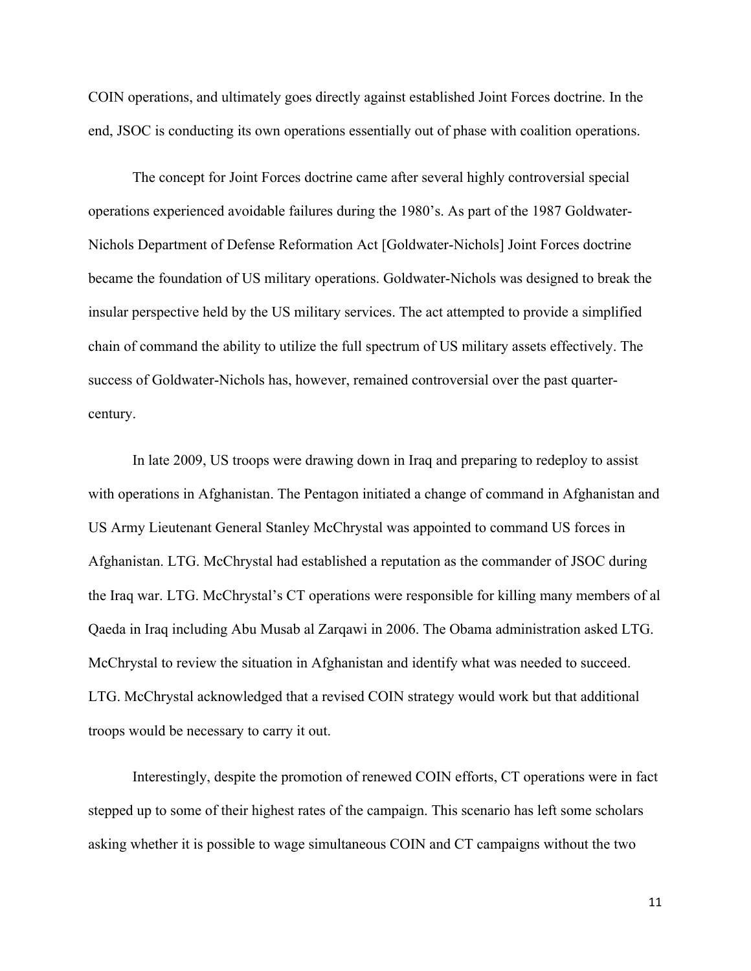COIN operations, and ultimately goes directly against established Joint Forces doctrine. In the end, JSOC is conducting its own operations essentially out of phase with coalition operations.

The concept for Joint Forces doctrine came after several highly controversial special operations experienced avoidable failures during the 1980's. As part of the 1987 Goldwater-Nichols Department of Defense Reformation Act [Goldwater-Nichols] Joint Forces doctrine became the foundation of US military operations. Goldwater-Nichols was designed to break the insular perspective held by the US military services. The act attempted to provide a simplified chain of command the ability to utilize the full spectrum of US military assets effectively. The success of Goldwater-Nichols has, however, remained controversial over the past quartercentury.

In late 2009, US troops were drawing down in Iraq and preparing to redeploy to assist with operations in Afghanistan. The Pentagon initiated a change of command in Afghanistan and US Army Lieutenant General Stanley McChrystal was appointed to command US forces in Afghanistan. LTG. McChrystal had established a reputation as the commander of JSOC during the Iraq war. LTG. McChrystal's CT operations were responsible for killing many members of al Qaeda in Iraq including Abu Musab al Zarqawi in 2006. The Obama administration asked LTG. McChrystal to review the situation in Afghanistan and identify what was needed to succeed. LTG. McChrystal acknowledged that a revised COIN strategy would work but that additional troops would be necessary to carry it out.

Interestingly, despite the promotion of renewed COIN efforts, CT operations were in fact stepped up to some of their highest rates of the campaign. This scenario has left some scholars asking whether it is possible to wage simultaneous COIN and CT campaigns without the two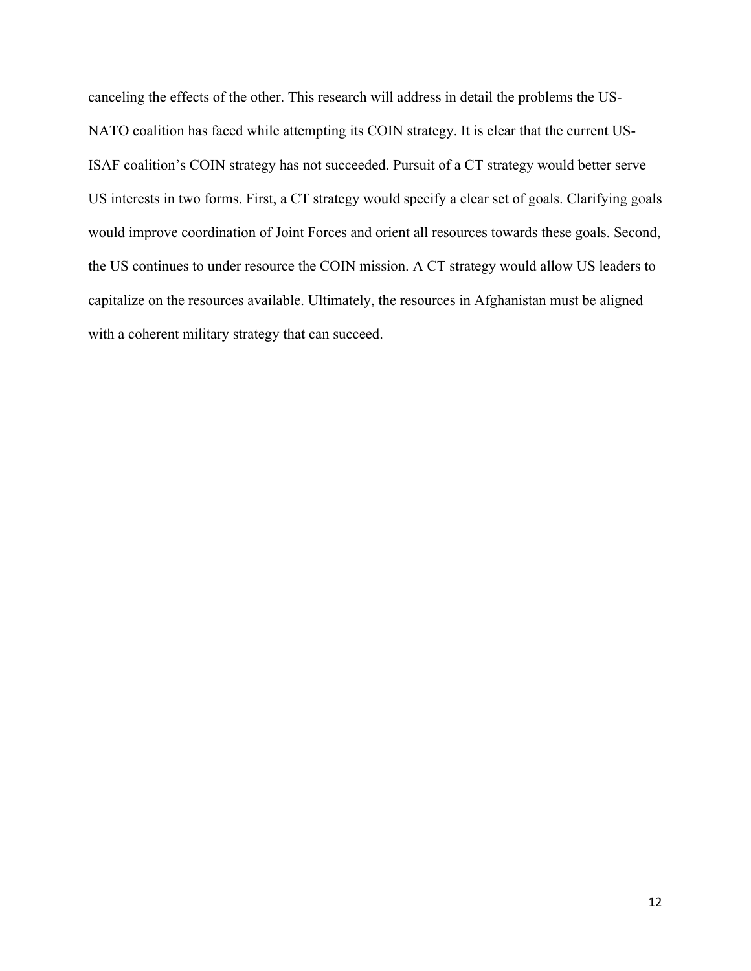canceling the effects of the other. This research will address in detail the problems the US-NATO coalition has faced while attempting its COIN strategy. It is clear that the current US-ISAF coalition's COIN strategy has not succeeded. Pursuit of a CT strategy would better serve US interests in two forms. First, a CT strategy would specify a clear set of goals. Clarifying goals would improve coordination of Joint Forces and orient all resources towards these goals. Second, the US continues to under resource the COIN mission. A CT strategy would allow US leaders to capitalize on the resources available. Ultimately, the resources in Afghanistan must be aligned with a coherent military strategy that can succeed.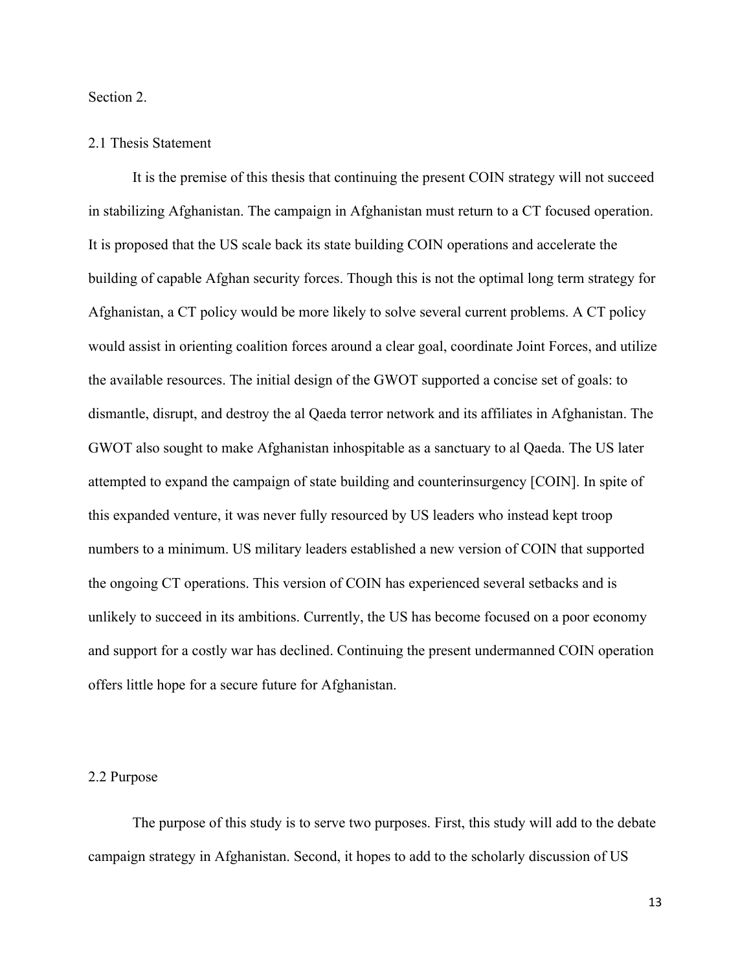Section 2.

#### 2.1 Thesis Statement

It is the premise of this thesis that continuing the present COIN strategy will not succeed in stabilizing Afghanistan. The campaign in Afghanistan must return to a CT focused operation. It is proposed that the US scale back its state building COIN operations and accelerate the building of capable Afghan security forces. Though this is not the optimal long term strategy for Afghanistan, a CT policy would be more likely to solve several current problems. A CT policy would assist in orienting coalition forces around a clear goal, coordinate Joint Forces, and utilize the available resources. The initial design of the GWOT supported a concise set of goals: to dismantle, disrupt, and destroy the al Qaeda terror network and its affiliates in Afghanistan. The GWOT also sought to make Afghanistan inhospitable as a sanctuary to al Qaeda. The US later attempted to expand the campaign of state building and counterinsurgency [COIN]. In spite of this expanded venture, it was never fully resourced by US leaders who instead kept troop numbers to a minimum. US military leaders established a new version of COIN that supported the ongoing CT operations. This version of COIN has experienced several setbacks and is unlikely to succeed in its ambitions. Currently, the US has become focused on a poor economy and support for a costly war has declined. Continuing the present undermanned COIN operation offers little hope for a secure future for Afghanistan.

#### 2.2 Purpose

The purpose of this study is to serve two purposes. First, this study will add to the debate campaign strategy in Afghanistan. Second, it hopes to add to the scholarly discussion of US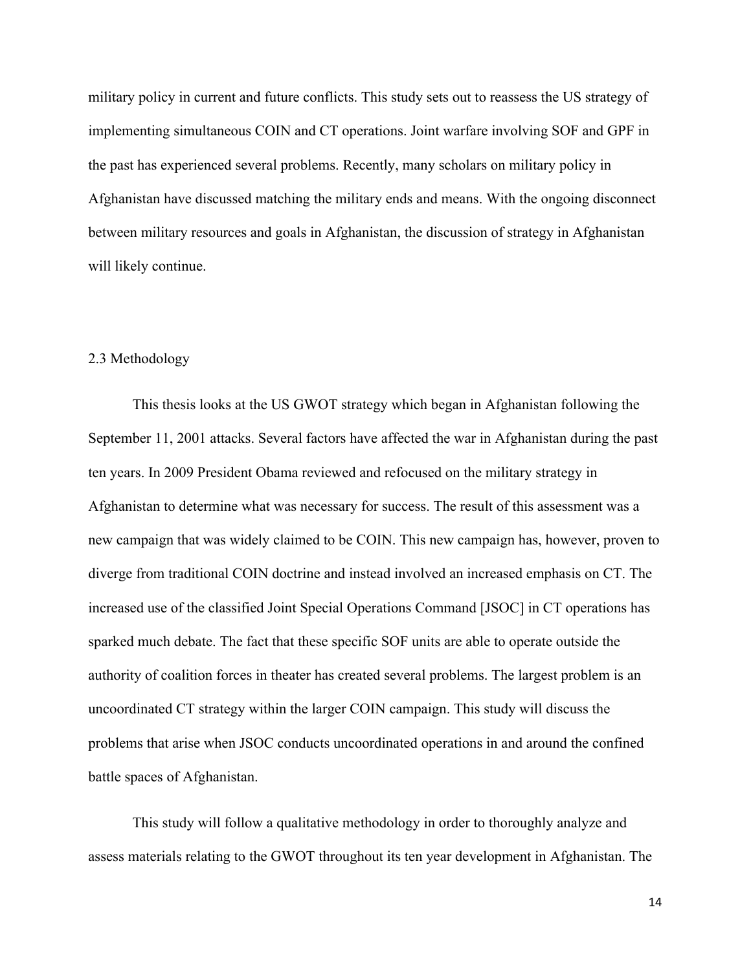military policy in current and future conflicts. This study sets out to reassess the US strategy of implementing simultaneous COIN and CT operations. Joint warfare involving SOF and GPF in the past has experienced several problems. Recently, many scholars on military policy in Afghanistan have discussed matching the military ends and means. With the ongoing disconnect between military resources and goals in Afghanistan, the discussion of strategy in Afghanistan will likely continue.

#### 2.3 Methodology

This thesis looks at the US GWOT strategy which began in Afghanistan following the September 11, 2001 attacks. Several factors have affected the war in Afghanistan during the past ten years. In 2009 President Obama reviewed and refocused on the military strategy in Afghanistan to determine what was necessary for success. The result of this assessment was a new campaign that was widely claimed to be COIN. This new campaign has, however, proven to diverge from traditional COIN doctrine and instead involved an increased emphasis on CT. The increased use of the classified Joint Special Operations Command [JSOC] in CT operations has sparked much debate. The fact that these specific SOF units are able to operate outside the authority of coalition forces in theater has created several problems. The largest problem is an uncoordinated CT strategy within the larger COIN campaign. This study will discuss the problems that arise when JSOC conducts uncoordinated operations in and around the confined battle spaces of Afghanistan.

This study will follow a qualitative methodology in order to thoroughly analyze and assess materials relating to the GWOT throughout its ten year development in Afghanistan. The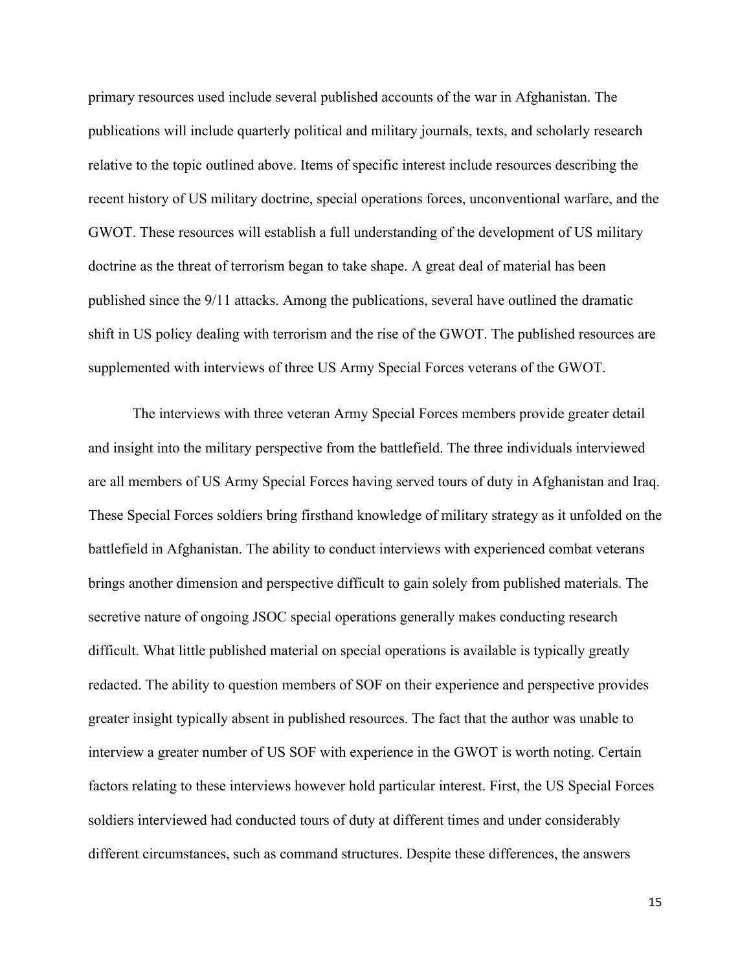primary resources used include several published accounts of the war in Afghanistan. The publications will include quarterly political and military journals, texts, and scholarly research relative to the topic outlined above. Items of specific interest include resources describing the recent history of US military doctrine, special operations forces, unconventional warfare, and the GWOT. These resources will establish a full understanding of the development of US military doctrine as the threat of terrorism began to take shape. A great deal of material has been published since the 9/11 attacks. Among the publications, several have outlined the dramatic shift in US policy dealing with terrorism and the rise of the GWOT. The published resources are supplemented with interviews of three US Army Special Forces veterans of the GWOT.

The interviews with three veteran Army Special Forces members provide greater detail and insight into the military perspective from the battlefield. The three individuals interviewed are all members of US Army Special Forces having served tours of duty in Afghanistan and Iraq. These Special Forces soldiers bring firsthand knowledge of military strategy as it unfolded on the battlefield in Afghanistan. The ability to conduct interviews with experienced combat veterans brings another dimension and perspective difficult to gain solely from published materials. The secretive nature of ongoing JSOC special operations generally makes conducting research difficult. What little published material on special operations is available is typically greatly redacted. The ability to question members of SOF on their experience and perspective provides greater insight typically absent in published resources. The fact that the author was unable to interview a greater number of US SOF with experience in the GWOT is worth noting. Certain factors relating to these interviews however hold particular interest. First, the US Special Forces soldiers interviewed had conducted tours of duty at different times and under considerably different circumstances, such as command structures. Despite these differences, the answers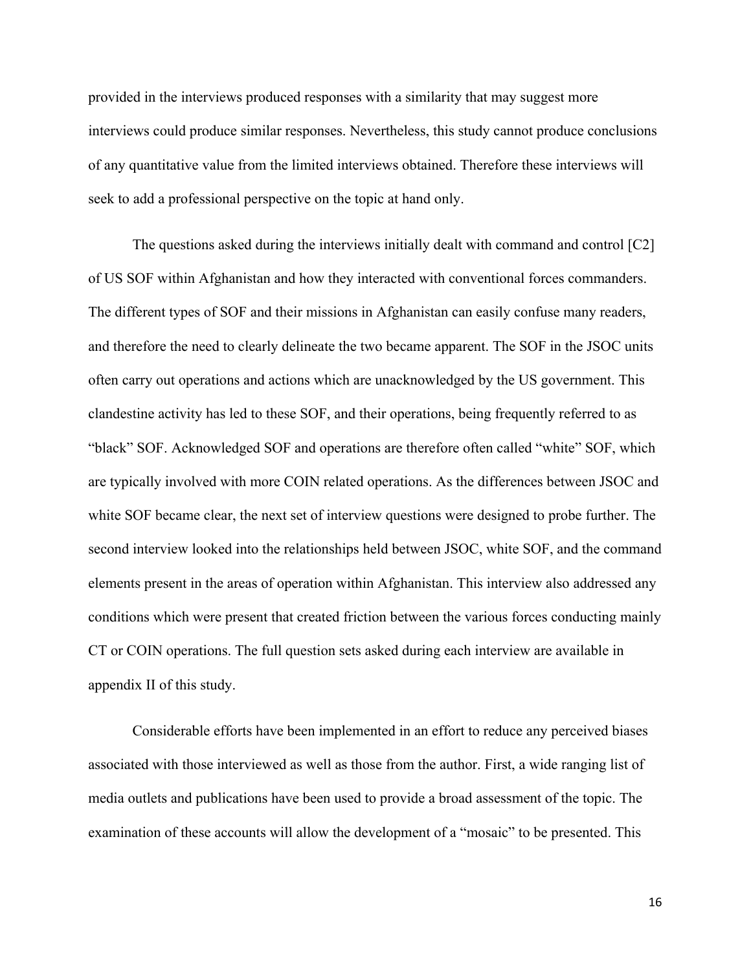provided in the interviews produced responses with a similarity that may suggest more interviews could produce similar responses. Nevertheless, this study cannot produce conclusions of any quantitative value from the limited interviews obtained. Therefore these interviews will seek to add a professional perspective on the topic at hand only.

The questions asked during the interviews initially dealt with command and control [C2] of US SOF within Afghanistan and how they interacted with conventional forces commanders. The different types of SOF and their missions in Afghanistan can easily confuse many readers, and therefore the need to clearly delineate the two became apparent. The SOF in the JSOC units often carry out operations and actions which are unacknowledged by the US government. This clandestine activity has led to these SOF, and their operations, being frequently referred to as "black" SOF. Acknowledged SOF and operations are therefore often called "white" SOF, which are typically involved with more COIN related operations. As the differences between JSOC and white SOF became clear, the next set of interview questions were designed to probe further. The second interview looked into the relationships held between JSOC, white SOF, and the command elements present in the areas of operation within Afghanistan. This interview also addressed any conditions which were present that created friction between the various forces conducting mainly CT or COIN operations. The full question sets asked during each interview are available in appendix II of this study.

Considerable efforts have been implemented in an effort to reduce any perceived biases associated with those interviewed as well as those from the author. First, a wide ranging list of media outlets and publications have been used to provide a broad assessment of the topic. The examination of these accounts will allow the development of a "mosaic" to be presented. This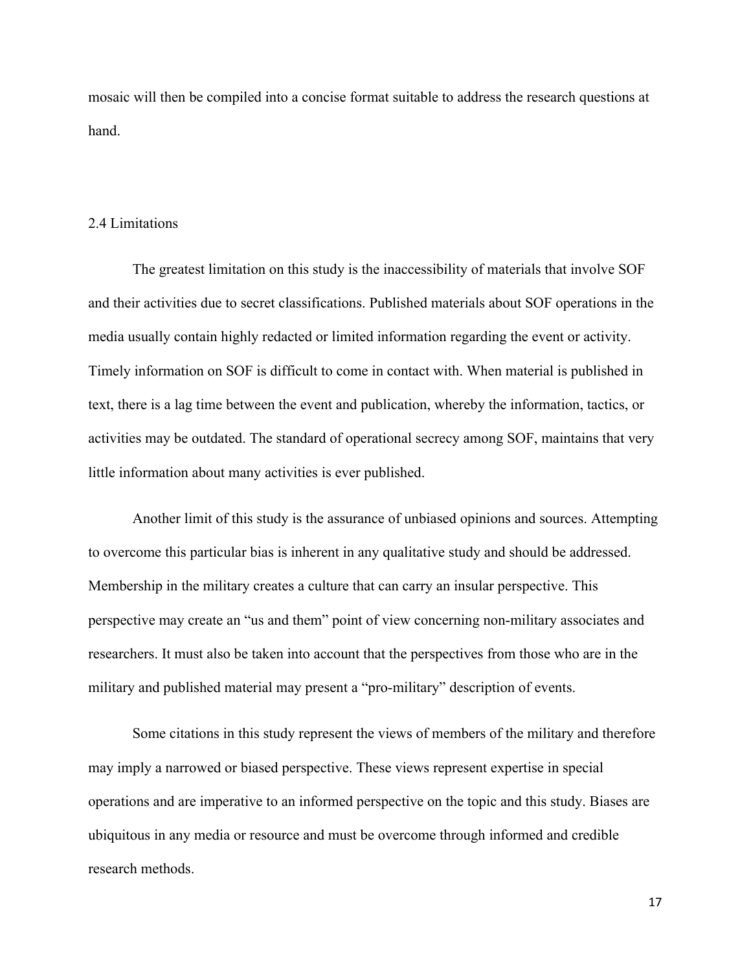mosaic will then be compiled into a concise format suitable to address the research questions at hand.

#### 2.4 Limitations

The greatest limitation on this study is the inaccessibility of materials that involve SOF and their activities due to secret classifications. Published materials about SOF operations in the media usually contain highly redacted or limited information regarding the event or activity. Timely information on SOF is difficult to come in contact with. When material is published in text, there is a lag time between the event and publication, whereby the information, tactics, or activities may be outdated. The standard of operational secrecy among SOF, maintains that very little information about many activities is ever published.

Another limit of this study is the assurance of unbiased opinions and sources. Attempting to overcome this particular bias is inherent in any qualitative study and should be addressed. Membership in the military creates a culture that can carry an insular perspective. This perspective may create an "us and them" point of view concerning non-military associates and researchers. It must also be taken into account that the perspectives from those who are in the military and published material may present a "pro-military" description of events.

Some citations in this study represent the views of members of the military and therefore may imply a narrowed or biased perspective. These views represent expertise in special operations and are imperative to an informed perspective on the topic and this study. Biases are ubiquitous in any media or resource and must be overcome through informed and credible research methods.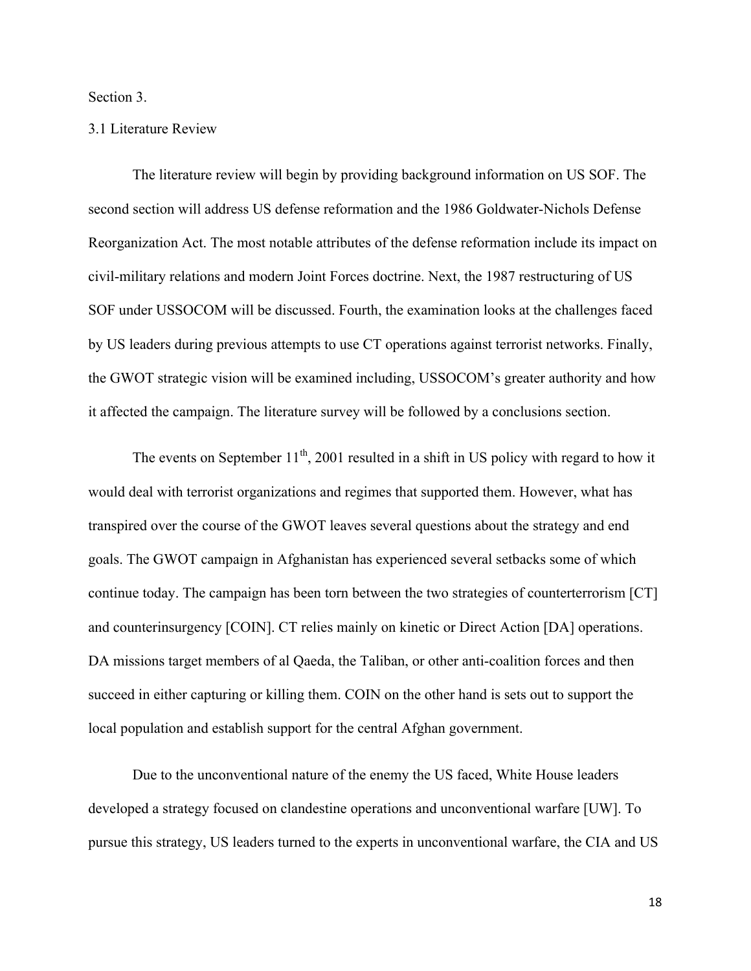Section 3.

#### 3.1 Literature Review

The literature review will begin by providing background information on US SOF. The second section will address US defense reformation and the 1986 Goldwater-Nichols Defense Reorganization Act. The most notable attributes of the defense reformation include its impact on civil-military relations and modern Joint Forces doctrine. Next, the 1987 restructuring of US SOF under USSOCOM will be discussed. Fourth, the examination looks at the challenges faced by US leaders during previous attempts to use CT operations against terrorist networks. Finally, the GWOT strategic vision will be examined including, USSOCOM's greater authority and how it affected the campaign. The literature survey will be followed by a conclusions section.

The events on September  $11<sup>th</sup>$ , 2001 resulted in a shift in US policy with regard to how it would deal with terrorist organizations and regimes that supported them. However, what has transpired over the course of the GWOT leaves several questions about the strategy and end goals. The GWOT campaign in Afghanistan has experienced several setbacks some of which continue today. The campaign has been torn between the two strategies of counterterrorism [CT] and counterinsurgency [COIN]. CT relies mainly on kinetic or Direct Action [DA] operations. DA missions target members of al Qaeda, the Taliban, or other anti-coalition forces and then succeed in either capturing or killing them. COIN on the other hand is sets out to support the local population and establish support for the central Afghan government.

Due to the unconventional nature of the enemy the US faced, White House leaders developed a strategy focused on clandestine operations and unconventional warfare [UW]. To pursue this strategy, US leaders turned to the experts in unconventional warfare, the CIA and US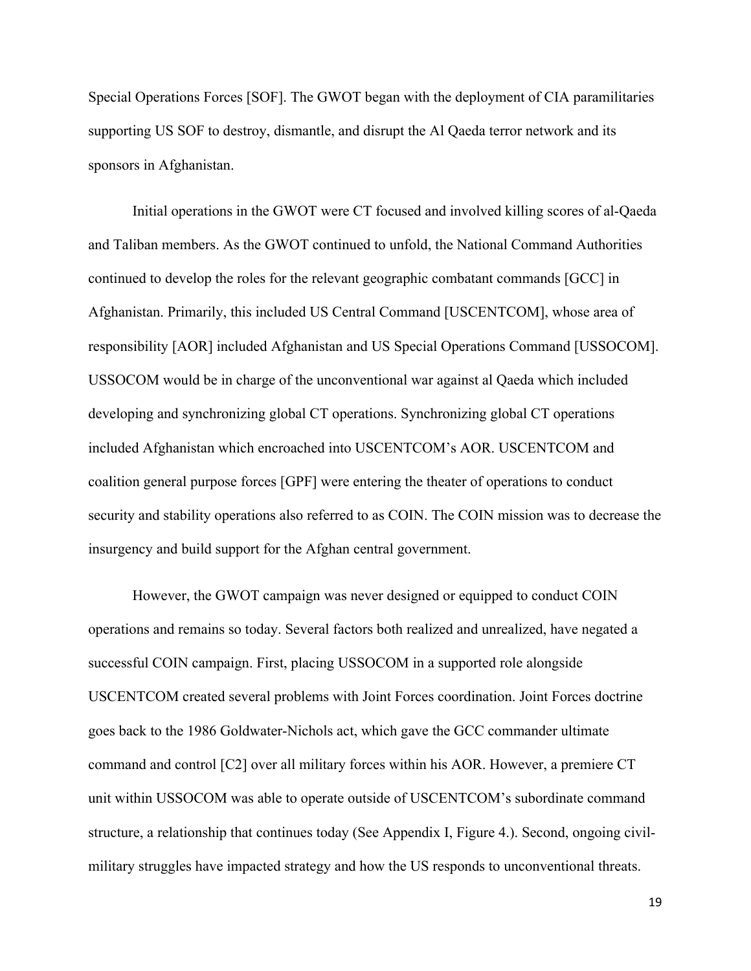Special Operations Forces [SOF]. The GWOT began with the deployment of CIA paramilitaries supporting US SOF to destroy, dismantle, and disrupt the Al Qaeda terror network and its sponsors in Afghanistan.

Initial operations in the GWOT were CT focused and involved killing scores of al-Qaeda and Taliban members. As the GWOT continued to unfold, the National Command Authorities continued to develop the roles for the relevant geographic combatant commands [GCC] in Afghanistan. Primarily, this included US Central Command [USCENTCOM], whose area of responsibility [AOR] included Afghanistan and US Special Operations Command [USSOCOM]. USSOCOM would be in charge of the unconventional war against al Qaeda which included developing and synchronizing global CT operations. Synchronizing global CT operations included Afghanistan which encroached into USCENTCOM's AOR. USCENTCOM and coalition general purpose forces [GPF] were entering the theater of operations to conduct security and stability operations also referred to as COIN. The COIN mission was to decrease the insurgency and build support for the Afghan central government.

However, the GWOT campaign was never designed or equipped to conduct COIN operations and remains so today. Several factors both realized and unrealized, have negated a successful COIN campaign. First, placing USSOCOM in a supported role alongside USCENTCOM created several problems with Joint Forces coordination. Joint Forces doctrine goes back to the 1986 Goldwater-Nichols act, which gave the GCC commander ultimate command and control [C2] over all military forces within his AOR. However, a premiere CT unit within USSOCOM was able to operate outside of USCENTCOM's subordinate command structure, a relationship that continues today (See Appendix I, Figure 4.). Second, ongoing civilmilitary struggles have impacted strategy and how the US responds to unconventional threats.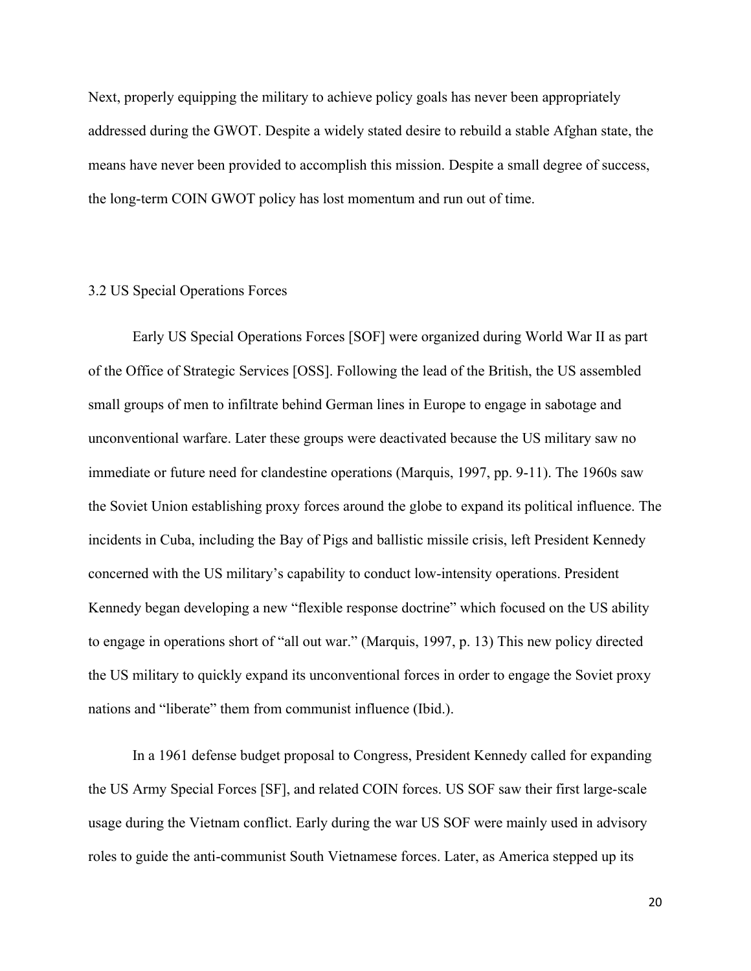Next, properly equipping the military to achieve policy goals has never been appropriately addressed during the GWOT. Despite a widely stated desire to rebuild a stable Afghan state, the means have never been provided to accomplish this mission. Despite a small degree of success, the long-term COIN GWOT policy has lost momentum and run out of time.

#### 3.2 US Special Operations Forces

Early US Special Operations Forces [SOF] were organized during World War II as part of the Office of Strategic Services [OSS]. Following the lead of the British, the US assembled small groups of men to infiltrate behind German lines in Europe to engage in sabotage and unconventional warfare. Later these groups were deactivated because the US military saw no immediate or future need for clandestine operations (Marquis, 1997, pp. 9-11). The 1960s saw the Soviet Union establishing proxy forces around the globe to expand its political influence. The incidents in Cuba, including the Bay of Pigs and ballistic missile crisis, left President Kennedy concerned with the US military's capability to conduct low-intensity operations. President Kennedy began developing a new "flexible response doctrine" which focused on the US ability to engage in operations short of "all out war." (Marquis, 1997, p. 13) This new policy directed the US military to quickly expand its unconventional forces in order to engage the Soviet proxy nations and "liberate" them from communist influence (Ibid.).

In a 1961 defense budget proposal to Congress, President Kennedy called for expanding the US Army Special Forces [SF], and related COIN forces. US SOF saw their first large-scale usage during the Vietnam conflict. Early during the war US SOF were mainly used in advisory roles to guide the anti-communist South Vietnamese forces. Later, as America stepped up its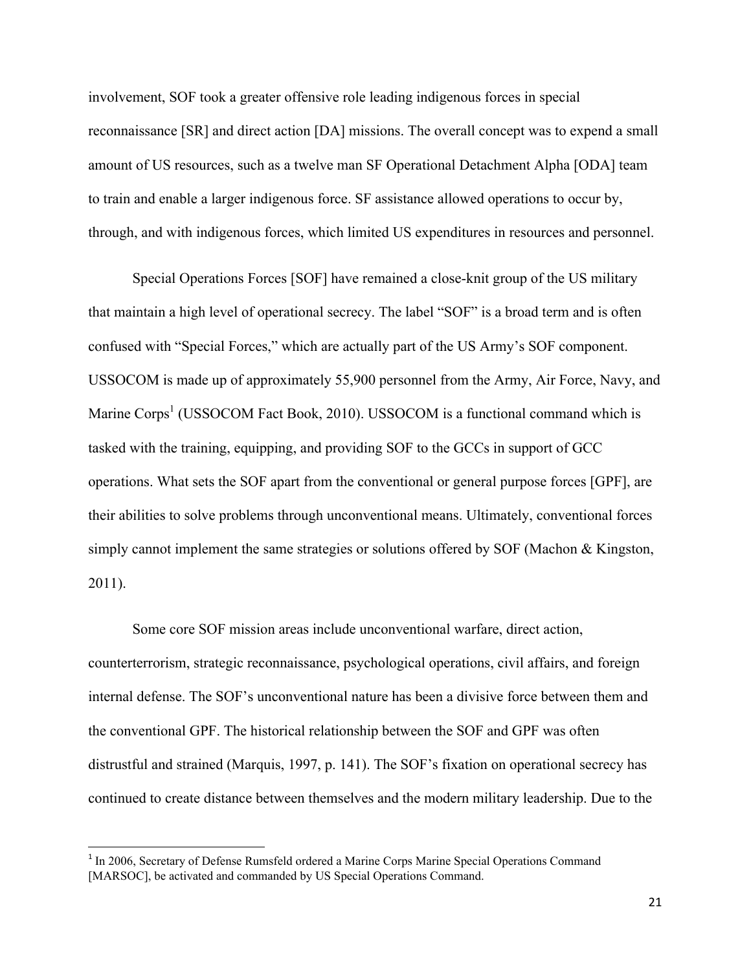involvement, SOF took a greater offensive role leading indigenous forces in special reconnaissance [SR] and direct action [DA] missions. The overall concept was to expend a small amount of US resources, such as a twelve man SF Operational Detachment Alpha [ODA] team to train and enable a larger indigenous force. SF assistance allowed operations to occur by, through, and with indigenous forces, which limited US expenditures in resources and personnel.

Special Operations Forces [SOF] have remained a close-knit group of the US military that maintain a high level of operational secrecy. The label "SOF" is a broad term and is often confused with "Special Forces," which are actually part of the US Army's SOF component. USSOCOM is made up of approximately 55,900 personnel from the Army, Air Force, Navy, and Marine  $Corps<sup>1</sup>$  (USSOCOM Fact Book, 2010). USSOCOM is a functional command which is tasked with the training, equipping, and providing SOF to the GCCs in support of GCC operations. What sets the SOF apart from the conventional or general purpose forces [GPF], are their abilities to solve problems through unconventional means. Ultimately, conventional forces simply cannot implement the same strategies or solutions offered by SOF (Machon & Kingston, 2011).

Some core SOF mission areas include unconventional warfare, direct action, counterterrorism, strategic reconnaissance, psychological operations, civil affairs, and foreign internal defense. The SOF's unconventional nature has been a divisive force between them and the conventional GPF. The historical relationship between the SOF and GPF was often distrustful and strained (Marquis, 1997, p. 141). The SOF's fixation on operational secrecy has continued to create distance between themselves and the modern military leadership. Due to the

<sup>&</sup>lt;sup>1</sup> In 2006, Secretary of Defense Rumsfeld ordered a Marine Corps Marine Special Operations Command [MARSOC], be activated and commanded by US Special Operations Command.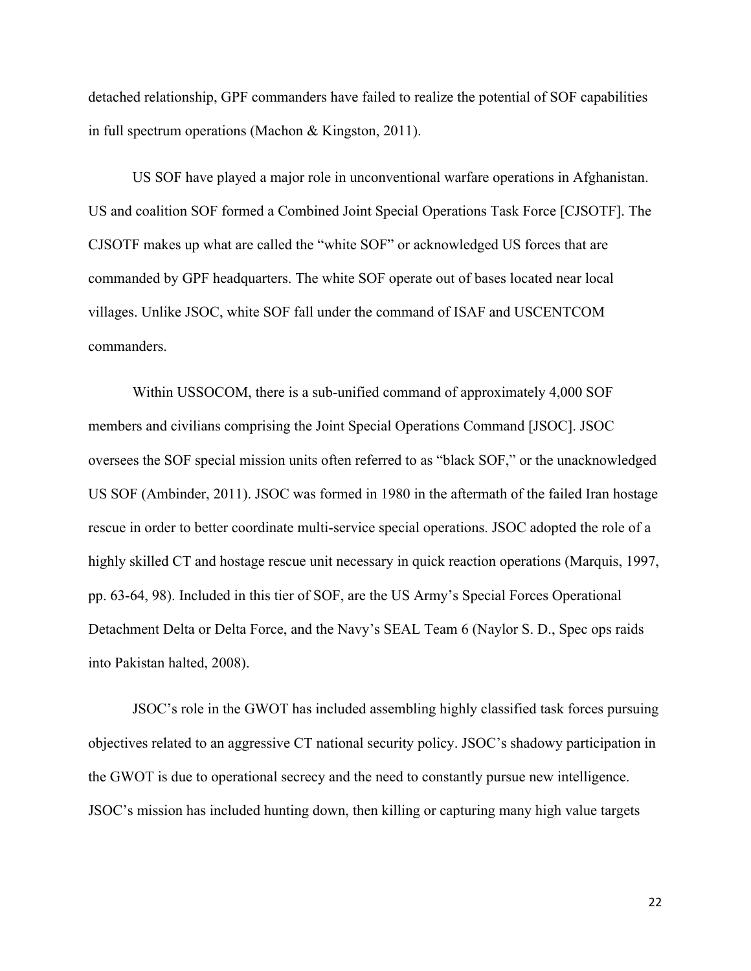detached relationship, GPF commanders have failed to realize the potential of SOF capabilities in full spectrum operations (Machon & Kingston, 2011).

US SOF have played a major role in unconventional warfare operations in Afghanistan. US and coalition SOF formed a Combined Joint Special Operations Task Force [CJSOTF]. The CJSOTF makes up what are called the "white SOF" or acknowledged US forces that are commanded by GPF headquarters. The white SOF operate out of bases located near local villages. Unlike JSOC, white SOF fall under the command of ISAF and USCENTCOM commanders.

Within USSOCOM, there is a sub-unified command of approximately 4,000 SOF members and civilians comprising the Joint Special Operations Command [JSOC]. JSOC oversees the SOF special mission units often referred to as "black SOF," or the unacknowledged US SOF (Ambinder, 2011). JSOC was formed in 1980 in the aftermath of the failed Iran hostage rescue in order to better coordinate multi-service special operations. JSOC adopted the role of a highly skilled CT and hostage rescue unit necessary in quick reaction operations (Marquis, 1997, pp. 63-64, 98). Included in this tier of SOF, are the US Army's Special Forces Operational Detachment Delta or Delta Force, and the Navy's SEAL Team 6 (Naylor S. D., Spec ops raids into Pakistan halted, 2008).

JSOC's role in the GWOT has included assembling highly classified task forces pursuing objectives related to an aggressive CT national security policy. JSOC's shadowy participation in the GWOT is due to operational secrecy and the need to constantly pursue new intelligence. JSOC's mission has included hunting down, then killing or capturing many high value targets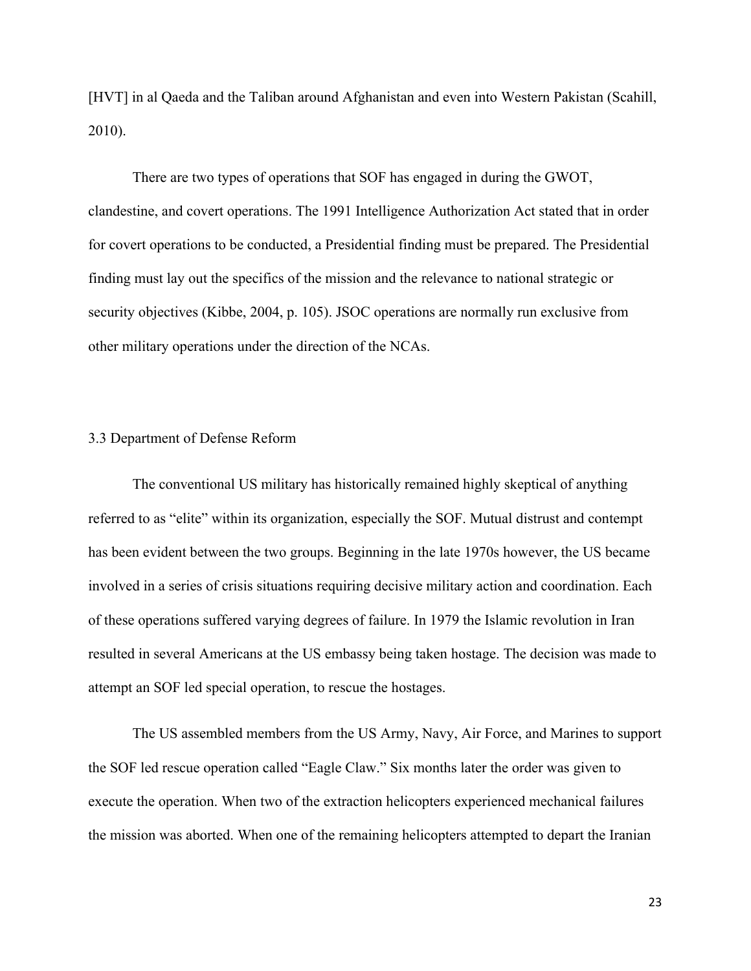[HVT] in al Qaeda and the Taliban around Afghanistan and even into Western Pakistan (Scahill, 2010).

There are two types of operations that SOF has engaged in during the GWOT, clandestine, and covert operations. The 1991 Intelligence Authorization Act stated that in order for covert operations to be conducted, a Presidential finding must be prepared. The Presidential finding must lay out the specifics of the mission and the relevance to national strategic or security objectives (Kibbe, 2004, p. 105). JSOC operations are normally run exclusive from other military operations under the direction of the NCAs.

#### 3.3 Department of Defense Reform

The conventional US military has historically remained highly skeptical of anything referred to as "elite" within its organization, especially the SOF. Mutual distrust and contempt has been evident between the two groups. Beginning in the late 1970s however, the US became involved in a series of crisis situations requiring decisive military action and coordination. Each of these operations suffered varying degrees of failure. In 1979 the Islamic revolution in Iran resulted in several Americans at the US embassy being taken hostage. The decision was made to attempt an SOF led special operation, to rescue the hostages.

The US assembled members from the US Army, Navy, Air Force, and Marines to support the SOF led rescue operation called "Eagle Claw." Six months later the order was given to execute the operation. When two of the extraction helicopters experienced mechanical failures the mission was aborted. When one of the remaining helicopters attempted to depart the Iranian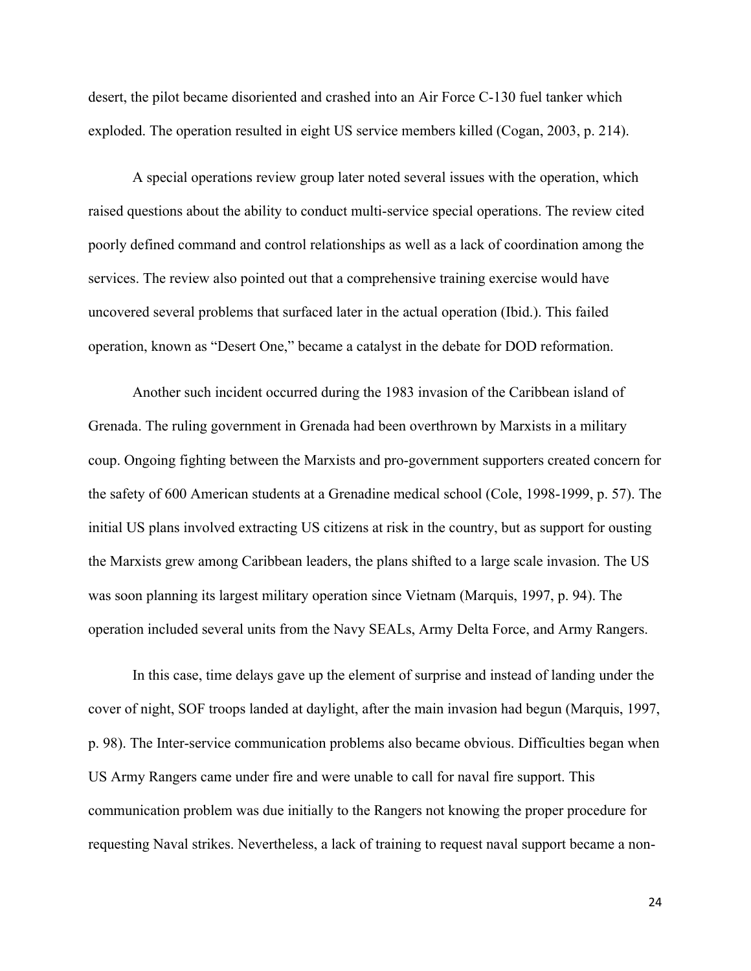desert, the pilot became disoriented and crashed into an Air Force C-130 fuel tanker which exploded. The operation resulted in eight US service members killed (Cogan, 2003, p. 214).

A special operations review group later noted several issues with the operation, which raised questions about the ability to conduct multi-service special operations. The review cited poorly defined command and control relationships as well as a lack of coordination among the services. The review also pointed out that a comprehensive training exercise would have uncovered several problems that surfaced later in the actual operation (Ibid.). This failed operation, known as "Desert One," became a catalyst in the debate for DOD reformation.

Another such incident occurred during the 1983 invasion of the Caribbean island of Grenada. The ruling government in Grenada had been overthrown by Marxists in a military coup. Ongoing fighting between the Marxists and pro-government supporters created concern for the safety of 600 American students at a Grenadine medical school (Cole, 1998-1999, p. 57). The initial US plans involved extracting US citizens at risk in the country, but as support for ousting the Marxists grew among Caribbean leaders, the plans shifted to a large scale invasion. The US was soon planning its largest military operation since Vietnam (Marquis, 1997, p. 94). The operation included several units from the Navy SEALs, Army Delta Force, and Army Rangers.

In this case, time delays gave up the element of surprise and instead of landing under the cover of night, SOF troops landed at daylight, after the main invasion had begun (Marquis, 1997, p. 98). The Inter-service communication problems also became obvious. Difficulties began when US Army Rangers came under fire and were unable to call for naval fire support. This communication problem was due initially to the Rangers not knowing the proper procedure for requesting Naval strikes. Nevertheless, a lack of training to request naval support became a non-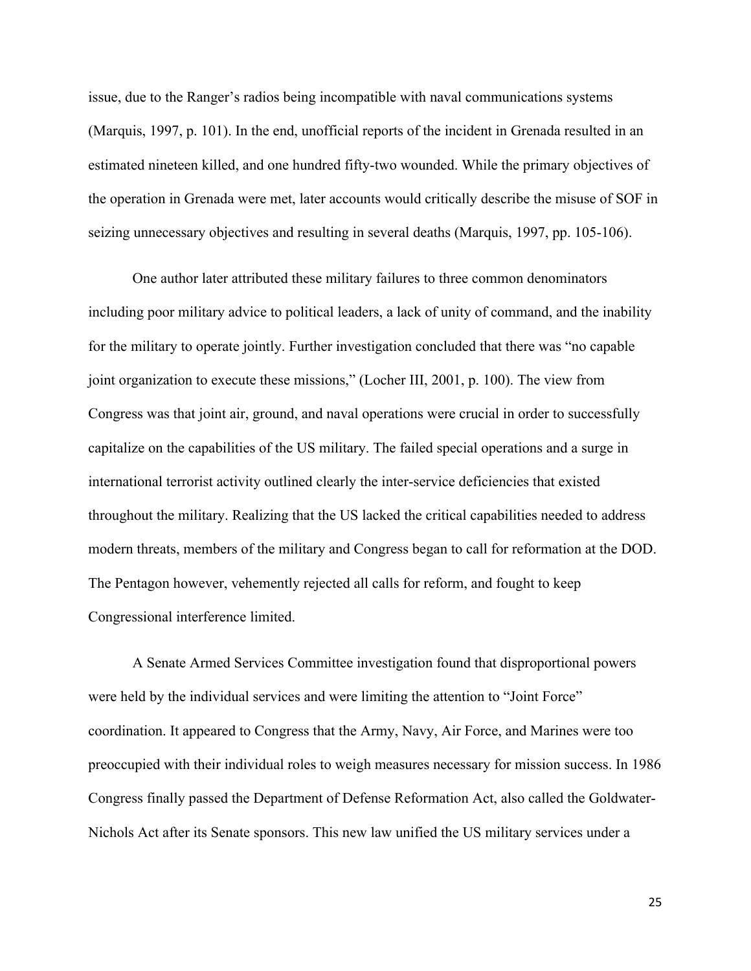issue, due to the Ranger's radios being incompatible with naval communications systems (Marquis, 1997, p. 101). In the end, unofficial reports of the incident in Grenada resulted in an estimated nineteen killed, and one hundred fifty-two wounded. While the primary objectives of the operation in Grenada were met, later accounts would critically describe the misuse of SOF in seizing unnecessary objectives and resulting in several deaths (Marquis, 1997, pp. 105-106).

One author later attributed these military failures to three common denominators including poor military advice to political leaders, a lack of unity of command, and the inability for the military to operate jointly. Further investigation concluded that there was "no capable joint organization to execute these missions," (Locher III, 2001, p. 100). The view from Congress was that joint air, ground, and naval operations were crucial in order to successfully capitalize on the capabilities of the US military. The failed special operations and a surge in international terrorist activity outlined clearly the inter-service deficiencies that existed throughout the military. Realizing that the US lacked the critical capabilities needed to address modern threats, members of the military and Congress began to call for reformation at the DOD. The Pentagon however, vehemently rejected all calls for reform, and fought to keep Congressional interference limited.

A Senate Armed Services Committee investigation found that disproportional powers were held by the individual services and were limiting the attention to "Joint Force" coordination. It appeared to Congress that the Army, Navy, Air Force, and Marines were too preoccupied with their individual roles to weigh measures necessary for mission success. In 1986 Congress finally passed the Department of Defense Reformation Act, also called the Goldwater-Nichols Act after its Senate sponsors. This new law unified the US military services under a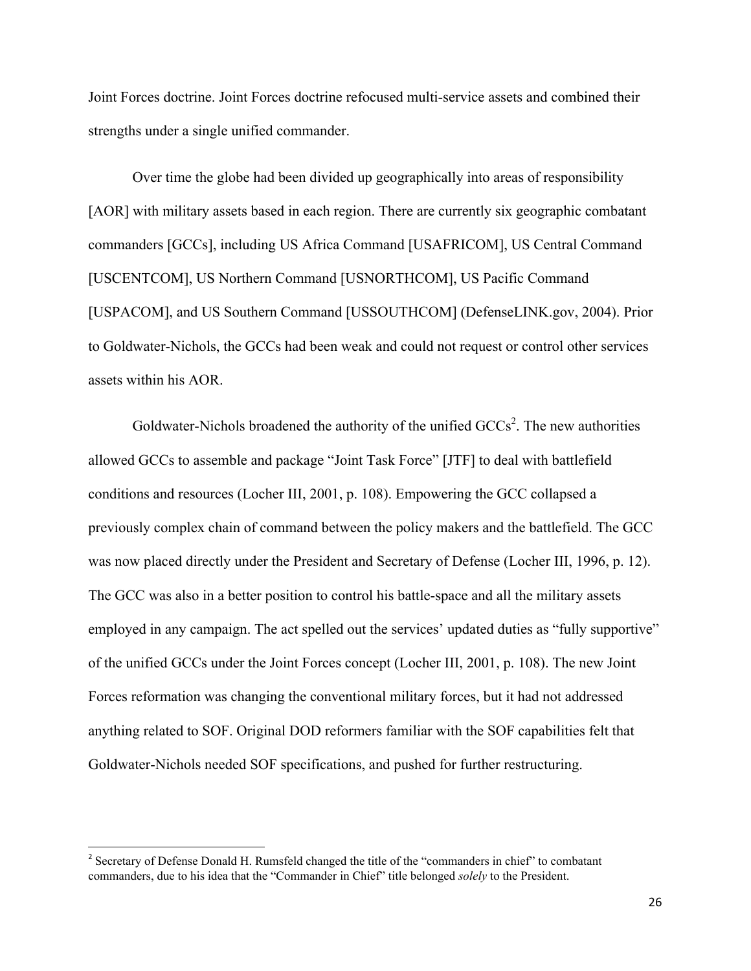Joint Forces doctrine. Joint Forces doctrine refocused multi-service assets and combined their strengths under a single unified commander.

Over time the globe had been divided up geographically into areas of responsibility [AOR] with military assets based in each region. There are currently six geographic combatant commanders [GCCs], including US Africa Command [USAFRICOM], US Central Command [USCENTCOM], US Northern Command [USNORTHCOM], US Pacific Command [USPACOM], and US Southern Command [USSOUTHCOM] (DefenseLINK.gov, 2004). Prior to Goldwater-Nichols, the GCCs had been weak and could not request or control other services assets within his AOR.

Goldwater-Nichols broadened the authority of the unified  $\text{GCCs}^2$ . The new authorities allowed GCCs to assemble and package "Joint Task Force" [JTF] to deal with battlefield conditions and resources (Locher III, 2001, p. 108). Empowering the GCC collapsed a previously complex chain of command between the policy makers and the battlefield. The GCC was now placed directly under the President and Secretary of Defense (Locher III, 1996, p. 12). The GCC was also in a better position to control his battle-space and all the military assets employed in any campaign. The act spelled out the services' updated duties as "fully supportive" of the unified GCCs under the Joint Forces concept (Locher III, 2001, p. 108). The new Joint Forces reformation was changing the conventional military forces, but it had not addressed anything related to SOF. Original DOD reformers familiar with the SOF capabilities felt that Goldwater-Nichols needed SOF specifications, and pushed for further restructuring.

<sup>&</sup>lt;sup>2</sup> Secretary of Defense Donald H. Rumsfeld changed the title of the "commanders in chief" to combatant commanders, due to his idea that the "Commander in Chief" title belonged *solely* to the President.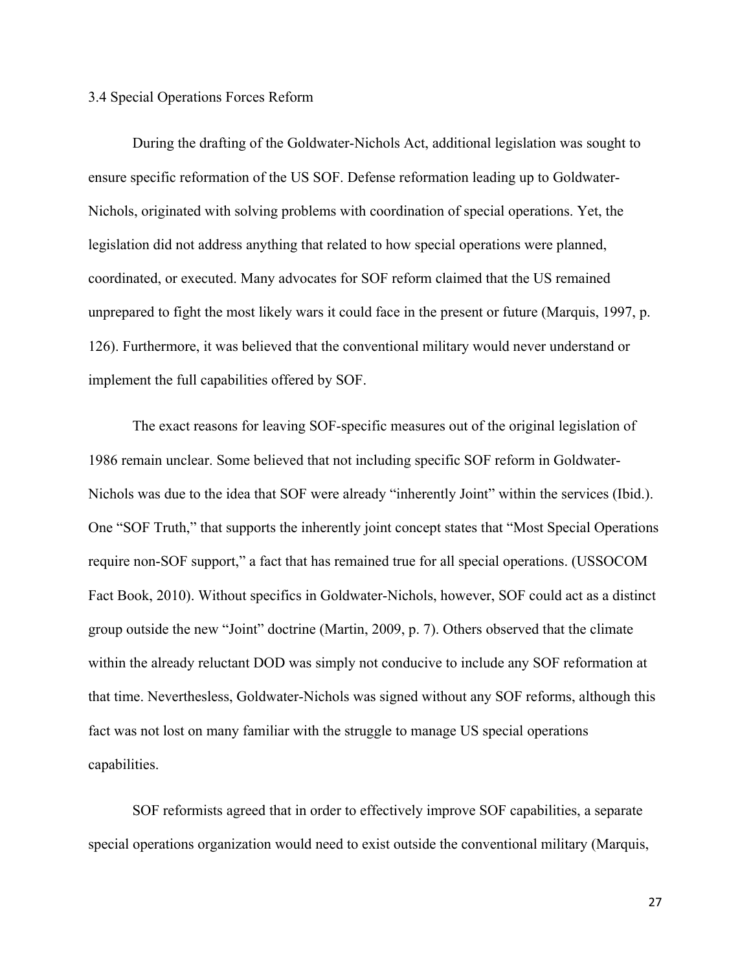3.4 Special Operations Forces Reform

During the drafting of the Goldwater-Nichols Act, additional legislation was sought to ensure specific reformation of the US SOF. Defense reformation leading up to Goldwater-Nichols, originated with solving problems with coordination of special operations. Yet, the legislation did not address anything that related to how special operations were planned, coordinated, or executed. Many advocates for SOF reform claimed that the US remained unprepared to fight the most likely wars it could face in the present or future (Marquis, 1997, p. 126). Furthermore, it was believed that the conventional military would never understand or implement the full capabilities offered by SOF.

The exact reasons for leaving SOF-specific measures out of the original legislation of 1986 remain unclear. Some believed that not including specific SOF reform in Goldwater-Nichols was due to the idea that SOF were already "inherently Joint" within the services (Ibid.). One "SOF Truth," that supports the inherently joint concept states that "Most Special Operations require non-SOF support," a fact that has remained true for all special operations. (USSOCOM Fact Book, 2010). Without specifics in Goldwater-Nichols, however, SOF could act as a distinct group outside the new "Joint" doctrine (Martin, 2009, p. 7). Others observed that the climate within the already reluctant DOD was simply not conducive to include any SOF reformation at that time. Neverthesless, Goldwater-Nichols was signed without any SOF reforms, although this fact was not lost on many familiar with the struggle to manage US special operations capabilities.

SOF reformists agreed that in order to effectively improve SOF capabilities, a separate special operations organization would need to exist outside the conventional military (Marquis,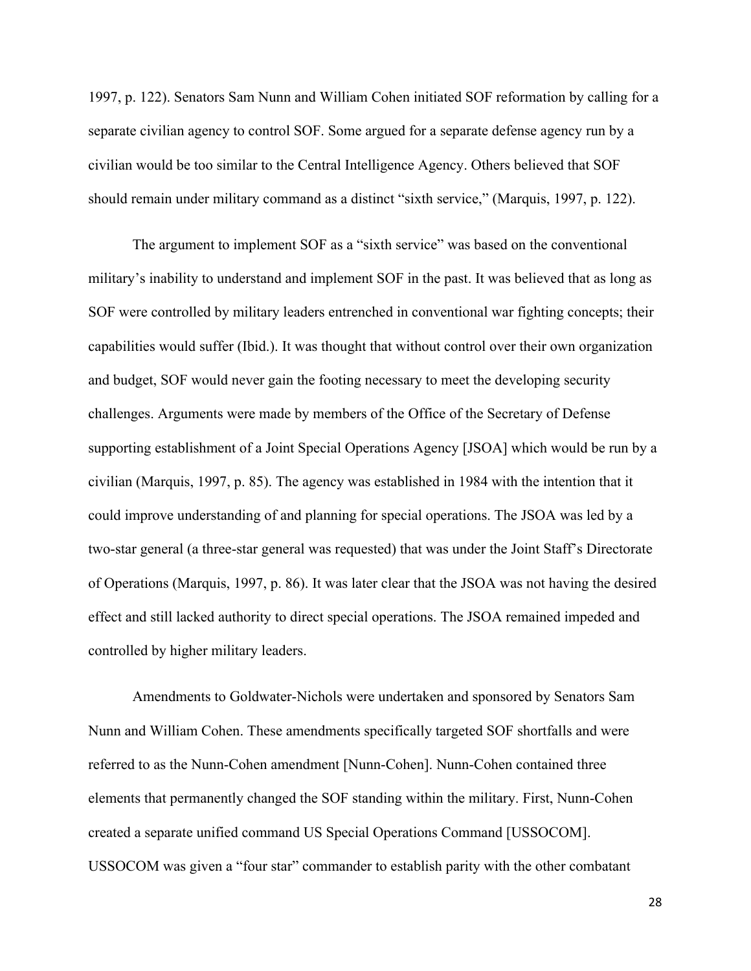1997, p. 122). Senators Sam Nunn and William Cohen initiated SOF reformation by calling for a separate civilian agency to control SOF. Some argued for a separate defense agency run by a civilian would be too similar to the Central Intelligence Agency. Others believed that SOF should remain under military command as a distinct "sixth service," (Marquis, 1997, p. 122).

The argument to implement SOF as a "sixth service" was based on the conventional military's inability to understand and implement SOF in the past. It was believed that as long as SOF were controlled by military leaders entrenched in conventional war fighting concepts; their capabilities would suffer (Ibid.). It was thought that without control over their own organization and budget, SOF would never gain the footing necessary to meet the developing security challenges. Arguments were made by members of the Office of the Secretary of Defense supporting establishment of a Joint Special Operations Agency [JSOA] which would be run by a civilian (Marquis, 1997, p. 85). The agency was established in 1984 with the intention that it could improve understanding of and planning for special operations. The JSOA was led by a two-star general (a three-star general was requested) that was under the Joint Staff's Directorate of Operations (Marquis, 1997, p. 86). It was later clear that the JSOA was not having the desired effect and still lacked authority to direct special operations. The JSOA remained impeded and controlled by higher military leaders.

Amendments to Goldwater-Nichols were undertaken and sponsored by Senators Sam Nunn and William Cohen. These amendments specifically targeted SOF shortfalls and were referred to as the Nunn-Cohen amendment [Nunn-Cohen]. Nunn-Cohen contained three elements that permanently changed the SOF standing within the military. First, Nunn-Cohen created a separate unified command US Special Operations Command [USSOCOM]. USSOCOM was given a "four star" commander to establish parity with the other combatant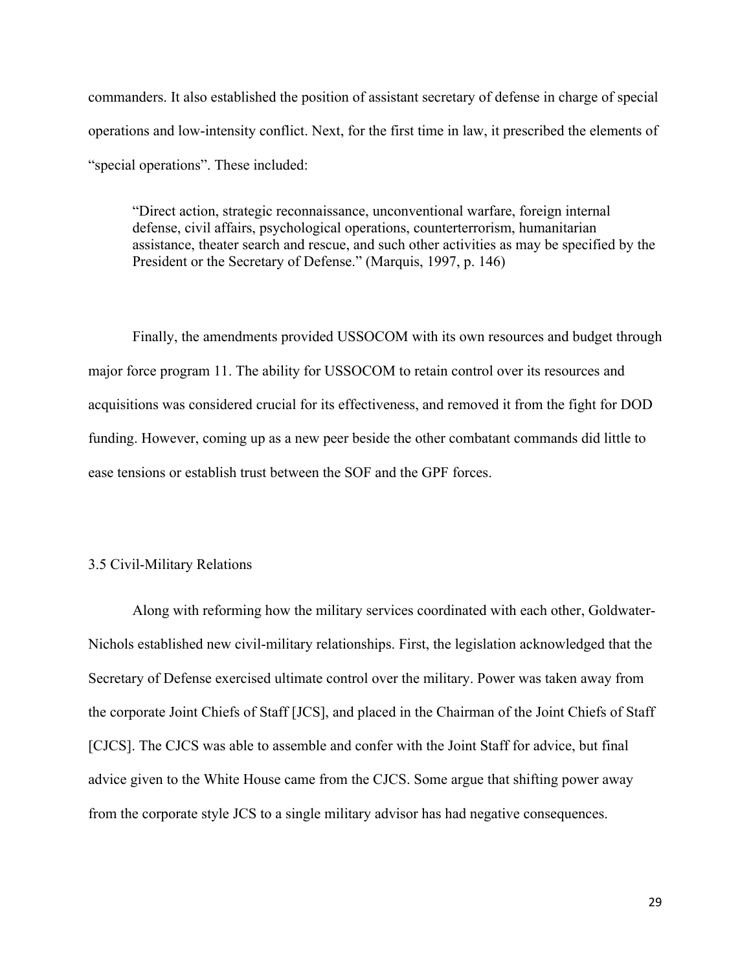commanders. It also established the position of assistant secretary of defense in charge of special operations and low-intensity conflict. Next, for the first time in law, it prescribed the elements of "special operations". These included:

"Direct action, strategic reconnaissance, unconventional warfare, foreign internal defense, civil affairs, psychological operations, counterterrorism, humanitarian assistance, theater search and rescue, and such other activities as may be specified by the President or the Secretary of Defense." (Marquis, 1997, p. 146)

Finally, the amendments provided USSOCOM with its own resources and budget through major force program 11. The ability for USSOCOM to retain control over its resources and acquisitions was considered crucial for its effectiveness, and removed it from the fight for DOD funding. However, coming up as a new peer beside the other combatant commands did little to ease tensions or establish trust between the SOF and the GPF forces.

#### 3.5 Civil-Military Relations

Along with reforming how the military services coordinated with each other, Goldwater-Nichols established new civil-military relationships. First, the legislation acknowledged that the Secretary of Defense exercised ultimate control over the military. Power was taken away from the corporate Joint Chiefs of Staff [JCS], and placed in the Chairman of the Joint Chiefs of Staff [CJCS]. The CJCS was able to assemble and confer with the Joint Staff for advice, but final advice given to the White House came from the CJCS. Some argue that shifting power away from the corporate style JCS to a single military advisor has had negative consequences.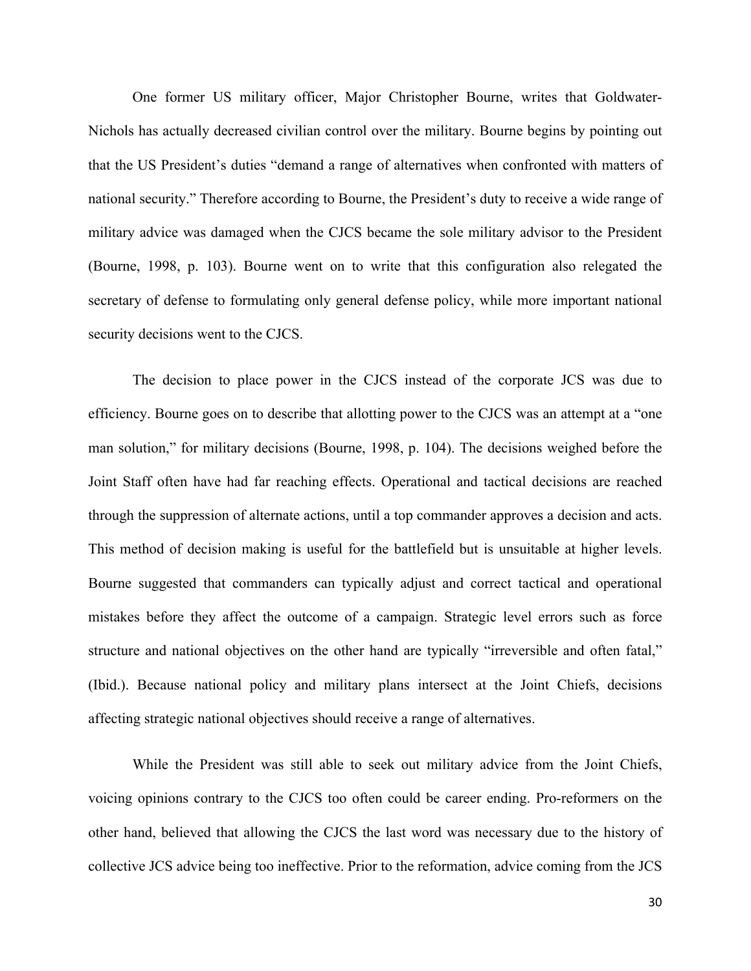One former US military officer, Major Christopher Bourne, writes that Goldwater-Nichols has actually decreased civilian control over the military. Bourne begins by pointing out that the US President's duties "demand a range of alternatives when confronted with matters of national security." Therefore according to Bourne, the President's duty to receive a wide range of military advice was damaged when the CJCS became the sole military advisor to the President (Bourne, 1998, p. 103). Bourne went on to write that this configuration also relegated the secretary of defense to formulating only general defense policy, while more important national security decisions went to the CJCS.

The decision to place power in the CJCS instead of the corporate JCS was due to efficiency. Bourne goes on to describe that allotting power to the CJCS was an attempt at a "one man solution," for military decisions (Bourne, 1998, p. 104). The decisions weighed before the Joint Staff often have had far reaching effects. Operational and tactical decisions are reached through the suppression of alternate actions, until a top commander approves a decision and acts. This method of decision making is useful for the battlefield but is unsuitable at higher levels. Bourne suggested that commanders can typically adjust and correct tactical and operational mistakes before they affect the outcome of a campaign. Strategic level errors such as force structure and national objectives on the other hand are typically "irreversible and often fatal," (Ibid.). Because national policy and military plans intersect at the Joint Chiefs, decisions affecting strategic national objectives should receive a range of alternatives.

While the President was still able to seek out military advice from the Joint Chiefs, voicing opinions contrary to the CJCS too often could be career ending. Pro-reformers on the other hand, believed that allowing the CJCS the last word was necessary due to the history of collective JCS advice being too ineffective. Prior to the reformation, advice coming from the JCS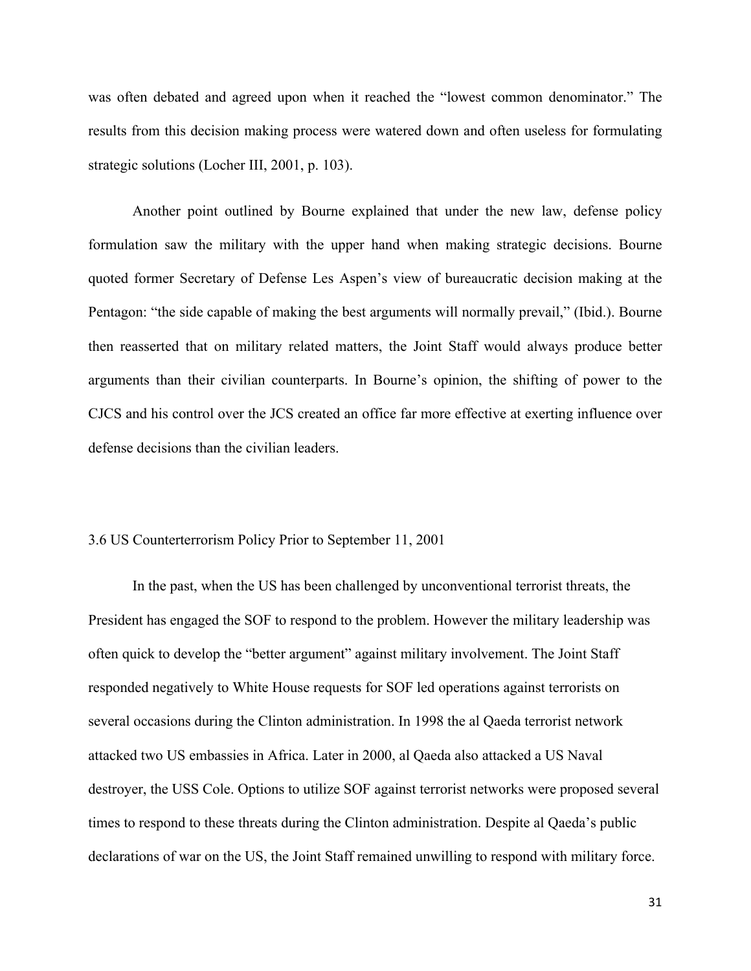was often debated and agreed upon when it reached the "lowest common denominator." The results from this decision making process were watered down and often useless for formulating strategic solutions (Locher III, 2001, p. 103).

Another point outlined by Bourne explained that under the new law, defense policy formulation saw the military with the upper hand when making strategic decisions. Bourne quoted former Secretary of Defense Les Aspen's view of bureaucratic decision making at the Pentagon: "the side capable of making the best arguments will normally prevail," (Ibid.). Bourne then reasserted that on military related matters, the Joint Staff would always produce better arguments than their civilian counterparts. In Bourne's opinion, the shifting of power to the CJCS and his control over the JCS created an office far more effective at exerting influence over defense decisions than the civilian leaders.

#### 3.6 US Counterterrorism Policy Prior to September 11, 2001

In the past, when the US has been challenged by unconventional terrorist threats, the President has engaged the SOF to respond to the problem. However the military leadership was often quick to develop the "better argument" against military involvement. The Joint Staff responded negatively to White House requests for SOF led operations against terrorists on several occasions during the Clinton administration. In 1998 the al Qaeda terrorist network attacked two US embassies in Africa. Later in 2000, al Qaeda also attacked a US Naval destroyer, the USS Cole. Options to utilize SOF against terrorist networks were proposed several times to respond to these threats during the Clinton administration. Despite al Qaeda's public declarations of war on the US, the Joint Staff remained unwilling to respond with military force.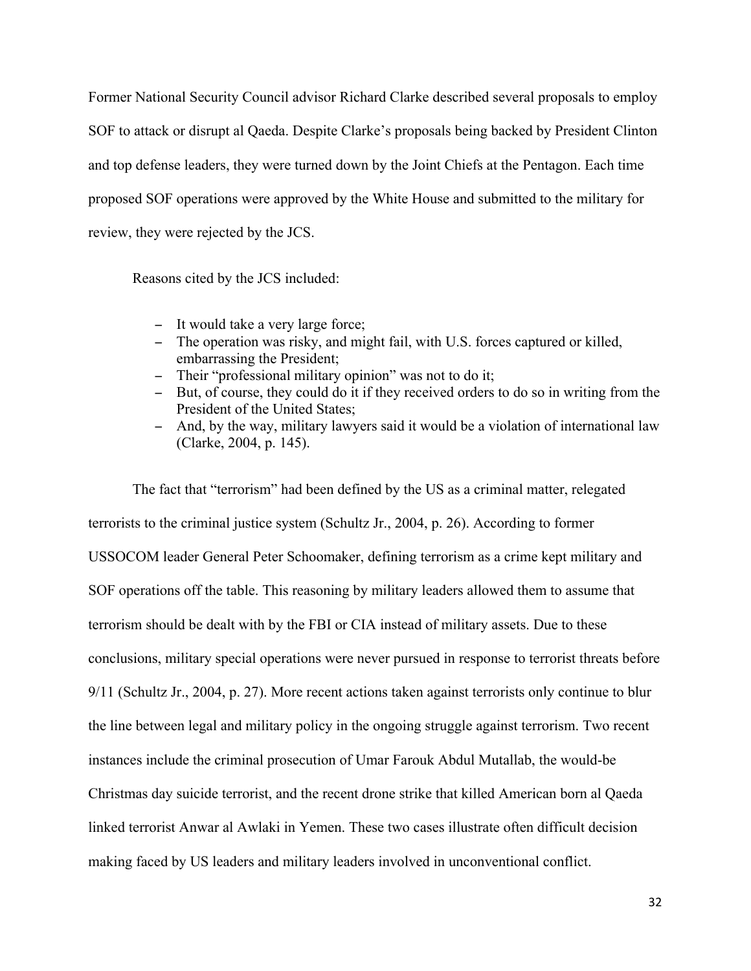Former National Security Council advisor Richard Clarke described several proposals to employ SOF to attack or disrupt al Qaeda. Despite Clarke's proposals being backed by President Clinton and top defense leaders, they were turned down by the Joint Chiefs at the Pentagon. Each time proposed SOF operations were approved by the White House and submitted to the military for review, they were rejected by the JCS.

Reasons cited by the JCS included:

- − It would take a very large force;
- − The operation was risky, and might fail, with U.S. forces captured or killed, embarrassing the President;
- − Their "professional military opinion" was not to do it;
- − But, of course, they could do it if they received orders to do so in writing from the President of the United States;
- − And, by the way, military lawyers said it would be a violation of international law (Clarke, 2004, p. 145).

The fact that "terrorism" had been defined by the US as a criminal matter, relegated terrorists to the criminal justice system (Schultz Jr., 2004, p. 26). According to former USSOCOM leader General Peter Schoomaker, defining terrorism as a crime kept military and SOF operations off the table. This reasoning by military leaders allowed them to assume that terrorism should be dealt with by the FBI or CIA instead of military assets. Due to these conclusions, military special operations were never pursued in response to terrorist threats before 9/11 (Schultz Jr., 2004, p. 27). More recent actions taken against terrorists only continue to blur the line between legal and military policy in the ongoing struggle against terrorism. Two recent instances include the criminal prosecution of Umar Farouk Abdul Mutallab, the would-be Christmas day suicide terrorist, and the recent drone strike that killed American born al Qaeda linked terrorist Anwar al Awlaki in Yemen. These two cases illustrate often difficult decision making faced by US leaders and military leaders involved in unconventional conflict.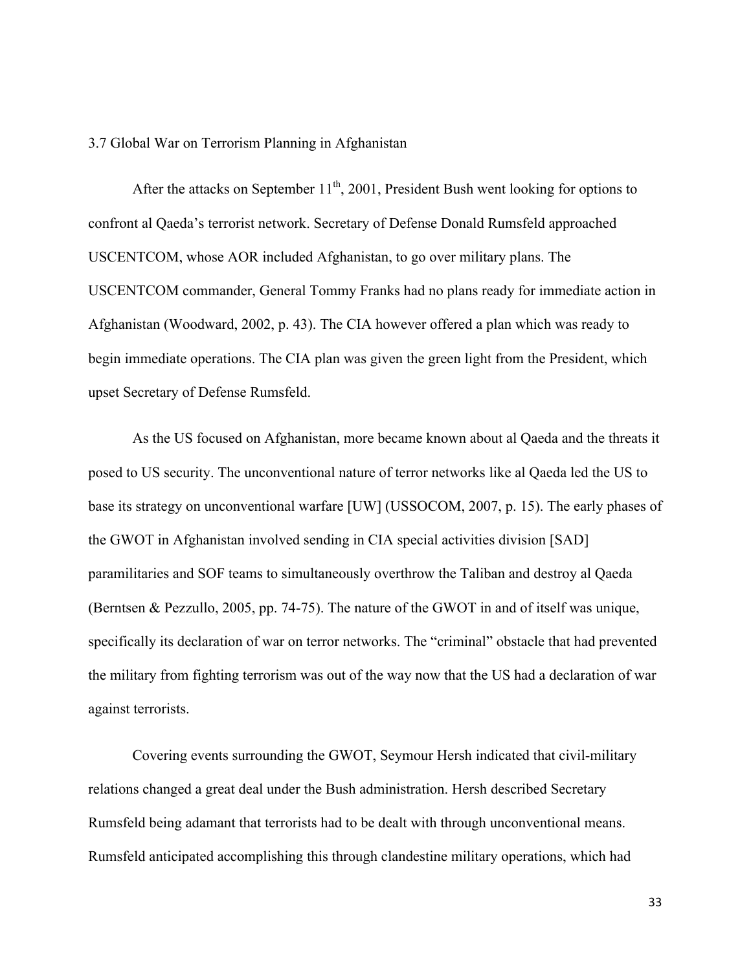#### 3.7 Global War on Terrorism Planning in Afghanistan

After the attacks on September  $11<sup>th</sup>$ , 2001, President Bush went looking for options to confront al Qaeda's terrorist network. Secretary of Defense Donald Rumsfeld approached USCENTCOM, whose AOR included Afghanistan, to go over military plans. The USCENTCOM commander, General Tommy Franks had no plans ready for immediate action in Afghanistan (Woodward, 2002, p. 43). The CIA however offered a plan which was ready to begin immediate operations. The CIA plan was given the green light from the President, which upset Secretary of Defense Rumsfeld.

As the US focused on Afghanistan, more became known about al Qaeda and the threats it posed to US security. The unconventional nature of terror networks like al Qaeda led the US to base its strategy on unconventional warfare [UW] (USSOCOM, 2007, p. 15). The early phases of the GWOT in Afghanistan involved sending in CIA special activities division [SAD] paramilitaries and SOF teams to simultaneously overthrow the Taliban and destroy al Qaeda (Berntsen & Pezzullo, 2005, pp. 74-75). The nature of the GWOT in and of itself was unique, specifically its declaration of war on terror networks. The "criminal" obstacle that had prevented the military from fighting terrorism was out of the way now that the US had a declaration of war against terrorists.

Covering events surrounding the GWOT, Seymour Hersh indicated that civil-military relations changed a great deal under the Bush administration. Hersh described Secretary Rumsfeld being adamant that terrorists had to be dealt with through unconventional means. Rumsfeld anticipated accomplishing this through clandestine military operations, which had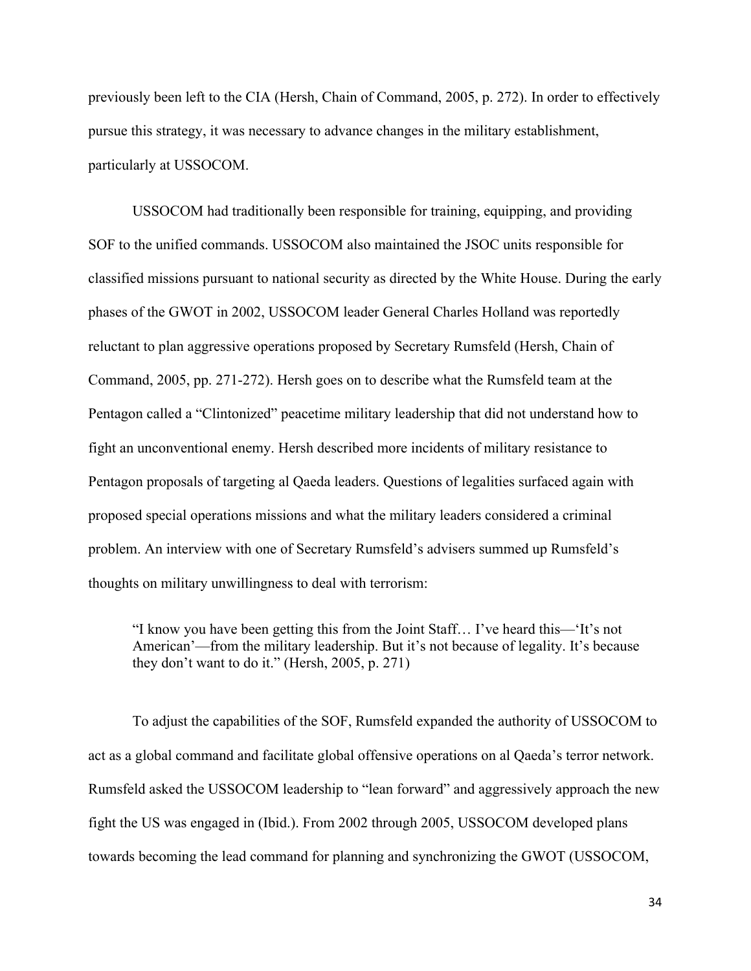previously been left to the CIA (Hersh, Chain of Command, 2005, p. 272). In order to effectively pursue this strategy, it was necessary to advance changes in the military establishment, particularly at USSOCOM.

USSOCOM had traditionally been responsible for training, equipping, and providing SOF to the unified commands. USSOCOM also maintained the JSOC units responsible for classified missions pursuant to national security as directed by the White House. During the early phases of the GWOT in 2002, USSOCOM leader General Charles Holland was reportedly reluctant to plan aggressive operations proposed by Secretary Rumsfeld (Hersh, Chain of Command, 2005, pp. 271-272). Hersh goes on to describe what the Rumsfeld team at the Pentagon called a "Clintonized" peacetime military leadership that did not understand how to fight an unconventional enemy. Hersh described more incidents of military resistance to Pentagon proposals of targeting al Qaeda leaders. Questions of legalities surfaced again with proposed special operations missions and what the military leaders considered a criminal problem. An interview with one of Secretary Rumsfeld's advisers summed up Rumsfeld's thoughts on military unwillingness to deal with terrorism:

"I know you have been getting this from the Joint Staff… I've heard this—'It's not American'—from the military leadership. But it's not because of legality. It's because they don't want to do it." (Hersh, 2005, p. 271)

To adjust the capabilities of the SOF, Rumsfeld expanded the authority of USSOCOM to act as a global command and facilitate global offensive operations on al Qaeda's terror network. Rumsfeld asked the USSOCOM leadership to "lean forward" and aggressively approach the new fight the US was engaged in (Ibid.). From 2002 through 2005, USSOCOM developed plans towards becoming the lead command for planning and synchronizing the GWOT (USSOCOM,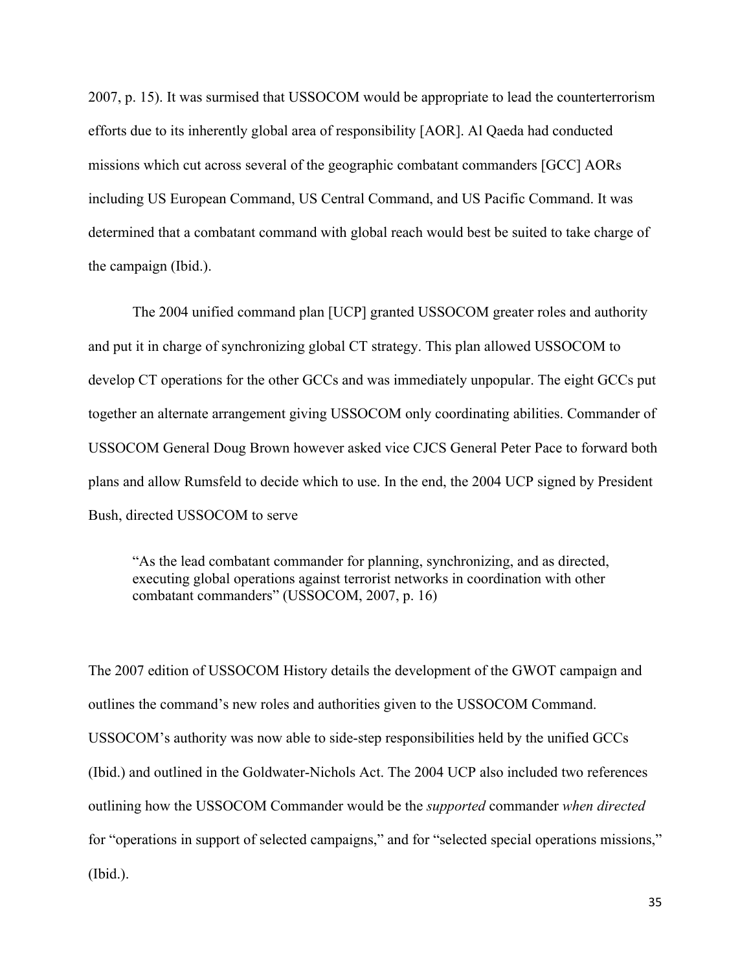2007, p. 15). It was surmised that USSOCOM would be appropriate to lead the counterterrorism efforts due to its inherently global area of responsibility [AOR]. Al Qaeda had conducted missions which cut across several of the geographic combatant commanders [GCC] AORs including US European Command, US Central Command, and US Pacific Command. It was determined that a combatant command with global reach would best be suited to take charge of the campaign (Ibid.).

The 2004 unified command plan [UCP] granted USSOCOM greater roles and authority and put it in charge of synchronizing global CT strategy. This plan allowed USSOCOM to develop CT operations for the other GCCs and was immediately unpopular. The eight GCCs put together an alternate arrangement giving USSOCOM only coordinating abilities. Commander of USSOCOM General Doug Brown however asked vice CJCS General Peter Pace to forward both plans and allow Rumsfeld to decide which to use. In the end, the 2004 UCP signed by President Bush, directed USSOCOM to serve

"As the lead combatant commander for planning, synchronizing, and as directed, executing global operations against terrorist networks in coordination with other combatant commanders" (USSOCOM, 2007, p. 16)

The 2007 edition of USSOCOM History details the development of the GWOT campaign and outlines the command's new roles and authorities given to the USSOCOM Command. USSOCOM's authority was now able to side-step responsibilities held by the unified GCCs (Ibid.) and outlined in the Goldwater-Nichols Act. The 2004 UCP also included two references outlining how the USSOCOM Commander would be the *supported* commander *when directed* for "operations in support of selected campaigns," and for "selected special operations missions," (Ibid.).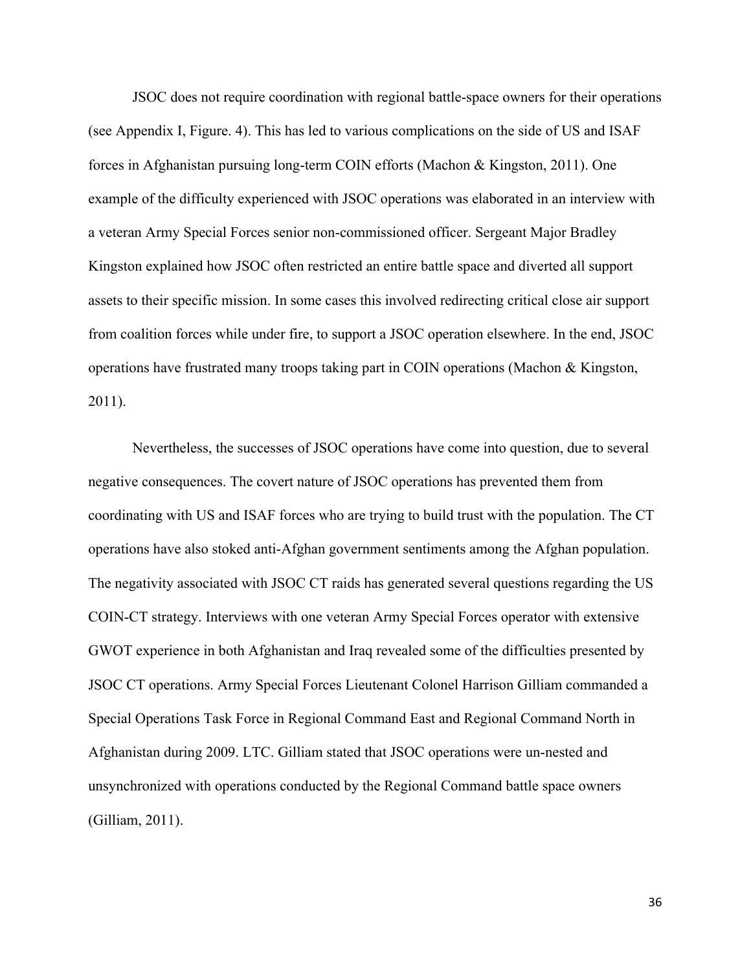JSOC does not require coordination with regional battle-space owners for their operations (see Appendix I, Figure. 4). This has led to various complications on the side of US and ISAF forces in Afghanistan pursuing long-term COIN efforts (Machon & Kingston, 2011). One example of the difficulty experienced with JSOC operations was elaborated in an interview with a veteran Army Special Forces senior non-commissioned officer. Sergeant Major Bradley Kingston explained how JSOC often restricted an entire battle space and diverted all support assets to their specific mission. In some cases this involved redirecting critical close air support from coalition forces while under fire, to support a JSOC operation elsewhere. In the end, JSOC operations have frustrated many troops taking part in COIN operations (Machon & Kingston, 2011).

Nevertheless, the successes of JSOC operations have come into question, due to several negative consequences. The covert nature of JSOC operations has prevented them from coordinating with US and ISAF forces who are trying to build trust with the population. The CT operations have also stoked anti-Afghan government sentiments among the Afghan population. The negativity associated with JSOC CT raids has generated several questions regarding the US COIN-CT strategy. Interviews with one veteran Army Special Forces operator with extensive GWOT experience in both Afghanistan and Iraq revealed some of the difficulties presented by JSOC CT operations. Army Special Forces Lieutenant Colonel Harrison Gilliam commanded a Special Operations Task Force in Regional Command East and Regional Command North in Afghanistan during 2009. LTC. Gilliam stated that JSOC operations were un-nested and unsynchronized with operations conducted by the Regional Command battle space owners (Gilliam, 2011).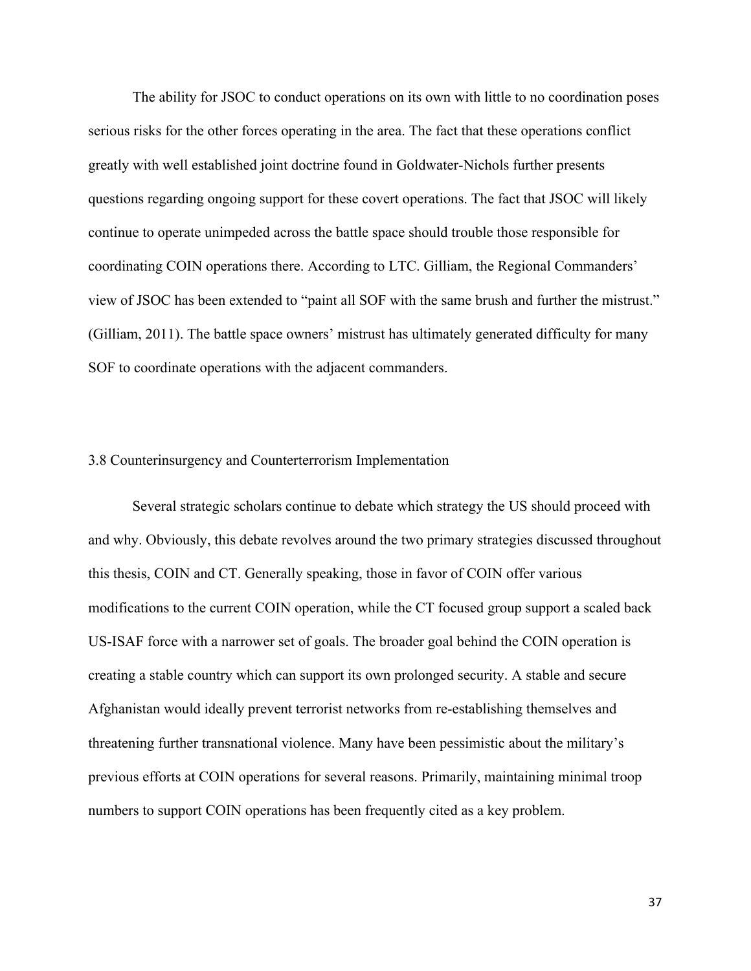The ability for JSOC to conduct operations on its own with little to no coordination poses serious risks for the other forces operating in the area. The fact that these operations conflict greatly with well established joint doctrine found in Goldwater-Nichols further presents questions regarding ongoing support for these covert operations. The fact that JSOC will likely continue to operate unimpeded across the battle space should trouble those responsible for coordinating COIN operations there. According to LTC. Gilliam, the Regional Commanders' view of JSOC has been extended to "paint all SOF with the same brush and further the mistrust." (Gilliam, 2011). The battle space owners' mistrust has ultimately generated difficulty for many SOF to coordinate operations with the adjacent commanders.

#### 3.8 Counterinsurgency and Counterterrorism Implementation

Several strategic scholars continue to debate which strategy the US should proceed with and why. Obviously, this debate revolves around the two primary strategies discussed throughout this thesis, COIN and CT. Generally speaking, those in favor of COIN offer various modifications to the current COIN operation, while the CT focused group support a scaled back US-ISAF force with a narrower set of goals. The broader goal behind the COIN operation is creating a stable country which can support its own prolonged security. A stable and secure Afghanistan would ideally prevent terrorist networks from re-establishing themselves and threatening further transnational violence. Many have been pessimistic about the military's previous efforts at COIN operations for several reasons. Primarily, maintaining minimal troop numbers to support COIN operations has been frequently cited as a key problem.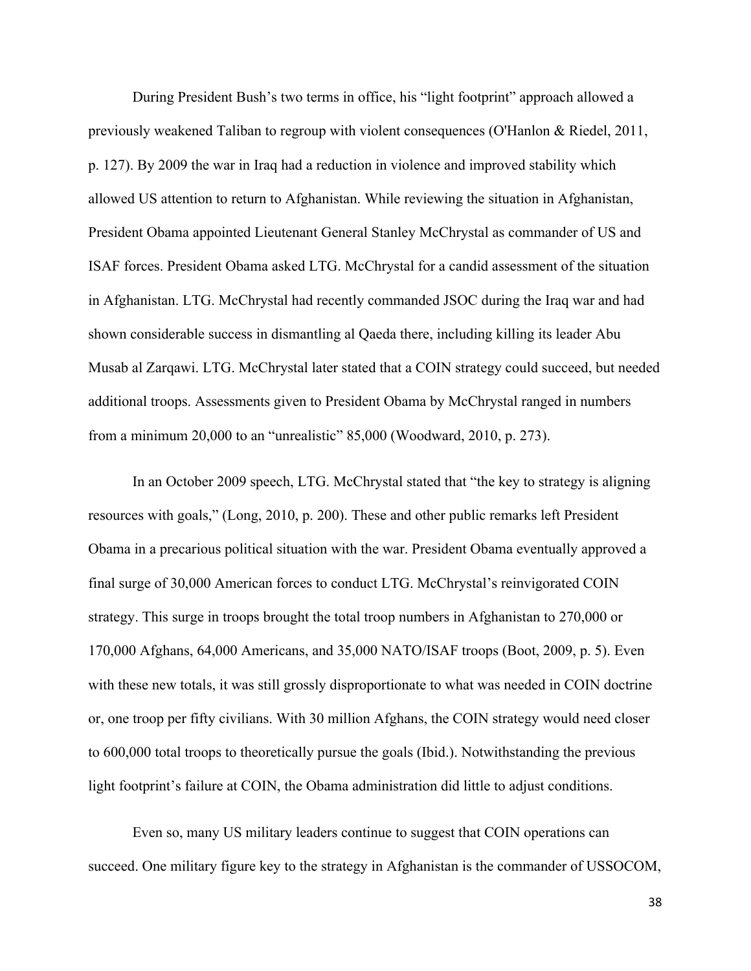During President Bush's two terms in office, his "light footprint" approach allowed a previously weakened Taliban to regroup with violent consequences (O'Hanlon & Riedel, 2011, p. 127). By 2009 the war in Iraq had a reduction in violence and improved stability which allowed US attention to return to Afghanistan. While reviewing the situation in Afghanistan, President Obama appointed Lieutenant General Stanley McChrystal as commander of US and ISAF forces. President Obama asked LTG. McChrystal for a candid assessment of the situation in Afghanistan. LTG. McChrystal had recently commanded JSOC during the Iraq war and had shown considerable success in dismantling al Qaeda there, including killing its leader Abu Musab al Zarqawi. LTG. McChrystal later stated that a COIN strategy could succeed, but needed additional troops. Assessments given to President Obama by McChrystal ranged in numbers from a minimum 20,000 to an "unrealistic" 85,000 (Woodward, 2010, p. 273).

In an October 2009 speech, LTG. McChrystal stated that "the key to strategy is aligning resources with goals," (Long, 2010, p. 200). These and other public remarks left President Obama in a precarious political situation with the war. President Obama eventually approved a final surge of 30,000 American forces to conduct LTG. McChrystal's reinvigorated COIN strategy. This surge in troops brought the total troop numbers in Afghanistan to 270,000 or 170,000 Afghans, 64,000 Americans, and 35,000 NATO/ISAF troops (Boot, 2009, p. 5). Even with these new totals, it was still grossly disproportionate to what was needed in COIN doctrine or, one troop per fifty civilians. With 30 million Afghans, the COIN strategy would need closer to 600,000 total troops to theoretically pursue the goals (Ibid.). Notwithstanding the previous light footprint's failure at COIN, the Obama administration did little to adjust conditions.

Even so, many US military leaders continue to suggest that COIN operations can succeed. One military figure key to the strategy in Afghanistan is the commander of USSOCOM,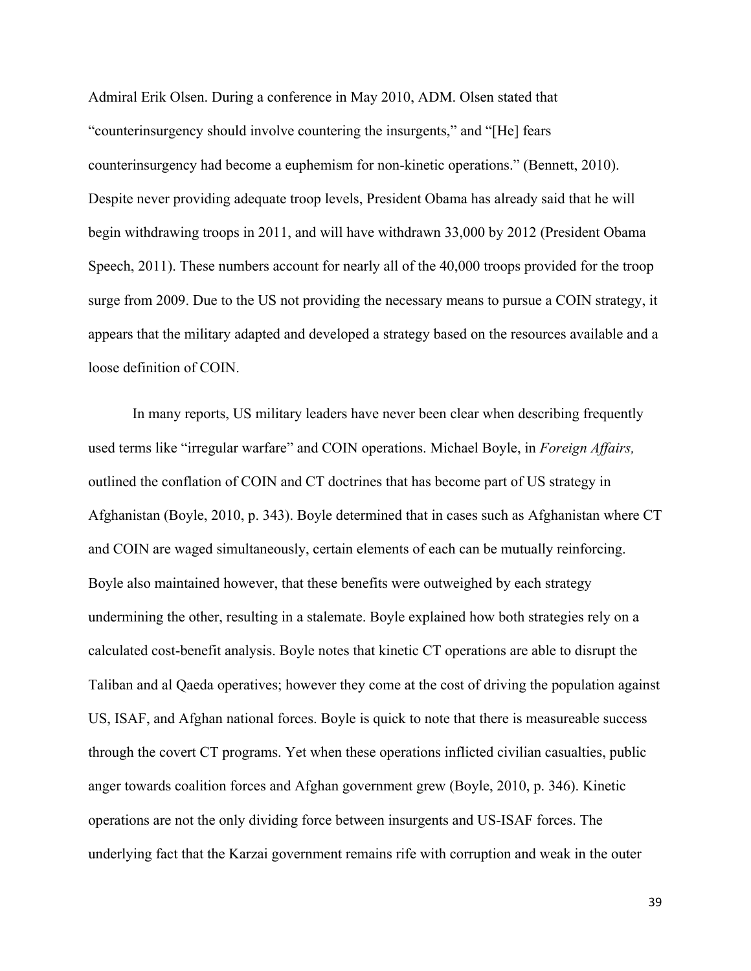Admiral Erik Olsen. During a conference in May 2010, ADM. Olsen stated that "counterinsurgency should involve countering the insurgents," and "[He] fears counterinsurgency had become a euphemism for non-kinetic operations." (Bennett, 2010). Despite never providing adequate troop levels, President Obama has already said that he will begin withdrawing troops in 2011, and will have withdrawn 33,000 by 2012 (President Obama Speech, 2011). These numbers account for nearly all of the 40,000 troops provided for the troop surge from 2009. Due to the US not providing the necessary means to pursue a COIN strategy, it appears that the military adapted and developed a strategy based on the resources available and a loose definition of COIN.

In many reports, US military leaders have never been clear when describing frequently used terms like "irregular warfare" and COIN operations. Michael Boyle, in *Foreign Affairs,* outlined the conflation of COIN and CT doctrines that has become part of US strategy in Afghanistan (Boyle, 2010, p. 343). Boyle determined that in cases such as Afghanistan where CT and COIN are waged simultaneously, certain elements of each can be mutually reinforcing. Boyle also maintained however, that these benefits were outweighed by each strategy undermining the other, resulting in a stalemate. Boyle explained how both strategies rely on a calculated cost-benefit analysis. Boyle notes that kinetic CT operations are able to disrupt the Taliban and al Qaeda operatives; however they come at the cost of driving the population against US, ISAF, and Afghan national forces. Boyle is quick to note that there is measureable success through the covert CT programs. Yet when these operations inflicted civilian casualties, public anger towards coalition forces and Afghan government grew (Boyle, 2010, p. 346). Kinetic operations are not the only dividing force between insurgents and US-ISAF forces. The underlying fact that the Karzai government remains rife with corruption and weak in the outer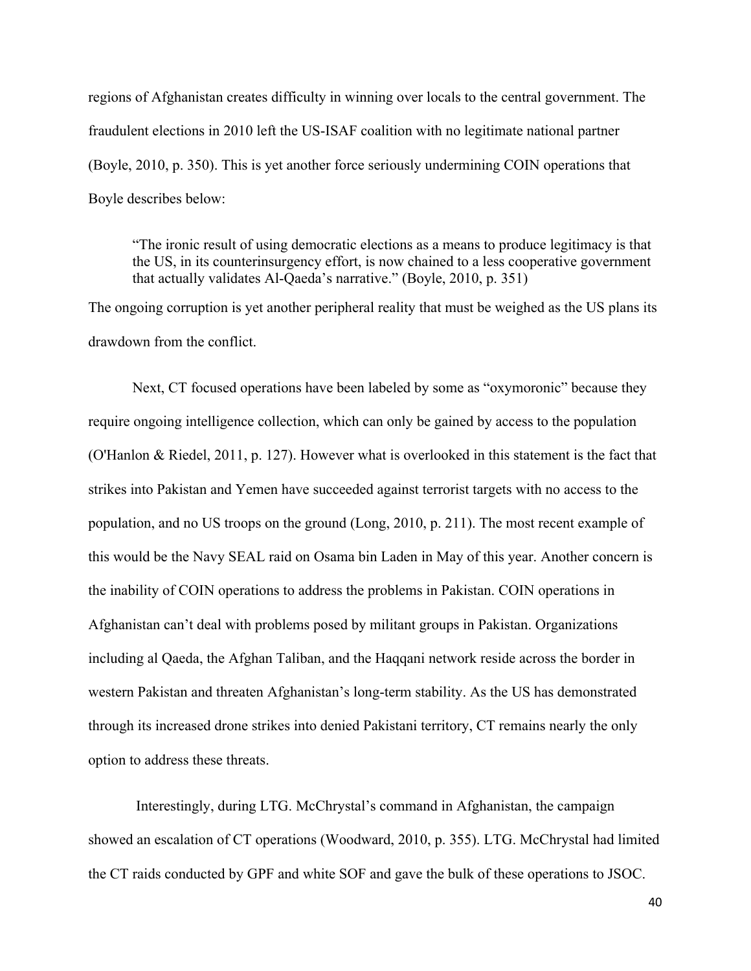regions of Afghanistan creates difficulty in winning over locals to the central government. The fraudulent elections in 2010 left the US-ISAF coalition with no legitimate national partner (Boyle, 2010, p. 350). This is yet another force seriously undermining COIN operations that Boyle describes below:

"The ironic result of using democratic elections as a means to produce legitimacy is that the US, in its counterinsurgency effort, is now chained to a less cooperative government that actually validates Al-Qaeda's narrative." (Boyle, 2010, p. 351)

The ongoing corruption is yet another peripheral reality that must be weighed as the US plans its drawdown from the conflict.

Next, CT focused operations have been labeled by some as "oxymoronic" because they require ongoing intelligence collection, which can only be gained by access to the population (O'Hanlon & Riedel, 2011, p. 127). However what is overlooked in this statement is the fact that strikes into Pakistan and Yemen have succeeded against terrorist targets with no access to the population, and no US troops on the ground (Long, 2010, p. 211). The most recent example of this would be the Navy SEAL raid on Osama bin Laden in May of this year. Another concern is the inability of COIN operations to address the problems in Pakistan. COIN operations in Afghanistan can't deal with problems posed by militant groups in Pakistan. Organizations including al Qaeda, the Afghan Taliban, and the Haqqani network reside across the border in western Pakistan and threaten Afghanistan's long-term stability. As the US has demonstrated through its increased drone strikes into denied Pakistani territory, CT remains nearly the only option to address these threats.

Interestingly, during LTG. McChrystal's command in Afghanistan, the campaign showed an escalation of CT operations (Woodward, 2010, p. 355). LTG. McChrystal had limited the CT raids conducted by GPF and white SOF and gave the bulk of these operations to JSOC.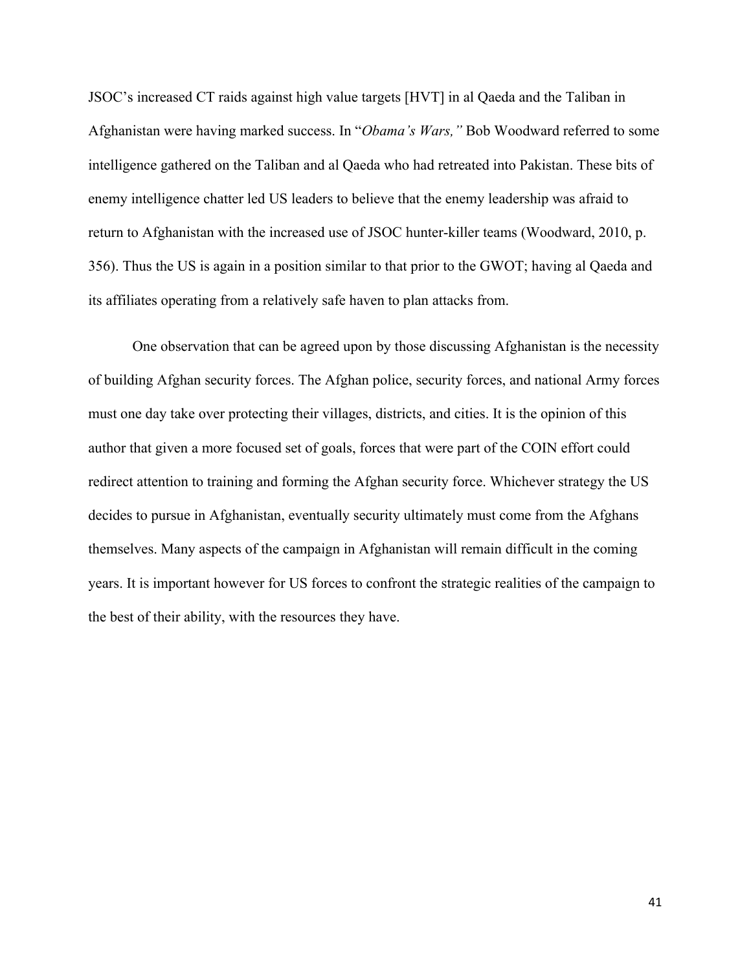JSOC's increased CT raids against high value targets [HVT] in al Qaeda and the Taliban in Afghanistan were having marked success. In "*Obama's Wars,"* Bob Woodward referred to some intelligence gathered on the Taliban and al Qaeda who had retreated into Pakistan. These bits of enemy intelligence chatter led US leaders to believe that the enemy leadership was afraid to return to Afghanistan with the increased use of JSOC hunter-killer teams (Woodward, 2010, p. 356). Thus the US is again in a position similar to that prior to the GWOT; having al Qaeda and its affiliates operating from a relatively safe haven to plan attacks from.

One observation that can be agreed upon by those discussing Afghanistan is the necessity of building Afghan security forces. The Afghan police, security forces, and national Army forces must one day take over protecting their villages, districts, and cities. It is the opinion of this author that given a more focused set of goals, forces that were part of the COIN effort could redirect attention to training and forming the Afghan security force. Whichever strategy the US decides to pursue in Afghanistan, eventually security ultimately must come from the Afghans themselves. Many aspects of the campaign in Afghanistan will remain difficult in the coming years. It is important however for US forces to confront the strategic realities of the campaign to the best of their ability, with the resources they have.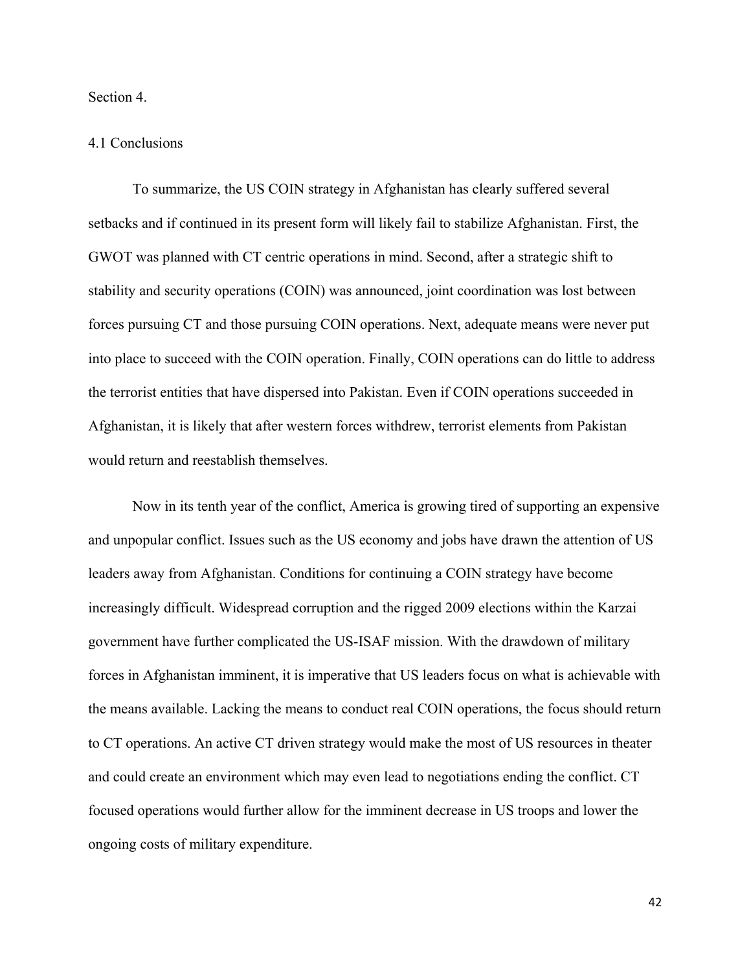Section 4.

#### 4.1 Conclusions

To summarize, the US COIN strategy in Afghanistan has clearly suffered several setbacks and if continued in its present form will likely fail to stabilize Afghanistan. First, the GWOT was planned with CT centric operations in mind. Second, after a strategic shift to stability and security operations (COIN) was announced, joint coordination was lost between forces pursuing CT and those pursuing COIN operations. Next, adequate means were never put into place to succeed with the COIN operation. Finally, COIN operations can do little to address the terrorist entities that have dispersed into Pakistan. Even if COIN operations succeeded in Afghanistan, it is likely that after western forces withdrew, terrorist elements from Pakistan would return and reestablish themselves.

Now in its tenth year of the conflict, America is growing tired of supporting an expensive and unpopular conflict. Issues such as the US economy and jobs have drawn the attention of US leaders away from Afghanistan. Conditions for continuing a COIN strategy have become increasingly difficult. Widespread corruption and the rigged 2009 elections within the Karzai government have further complicated the US-ISAF mission. With the drawdown of military forces in Afghanistan imminent, it is imperative that US leaders focus on what is achievable with the means available. Lacking the means to conduct real COIN operations, the focus should return to CT operations. An active CT driven strategy would make the most of US resources in theater and could create an environment which may even lead to negotiations ending the conflict. CT focused operations would further allow for the imminent decrease in US troops and lower the ongoing costs of military expenditure.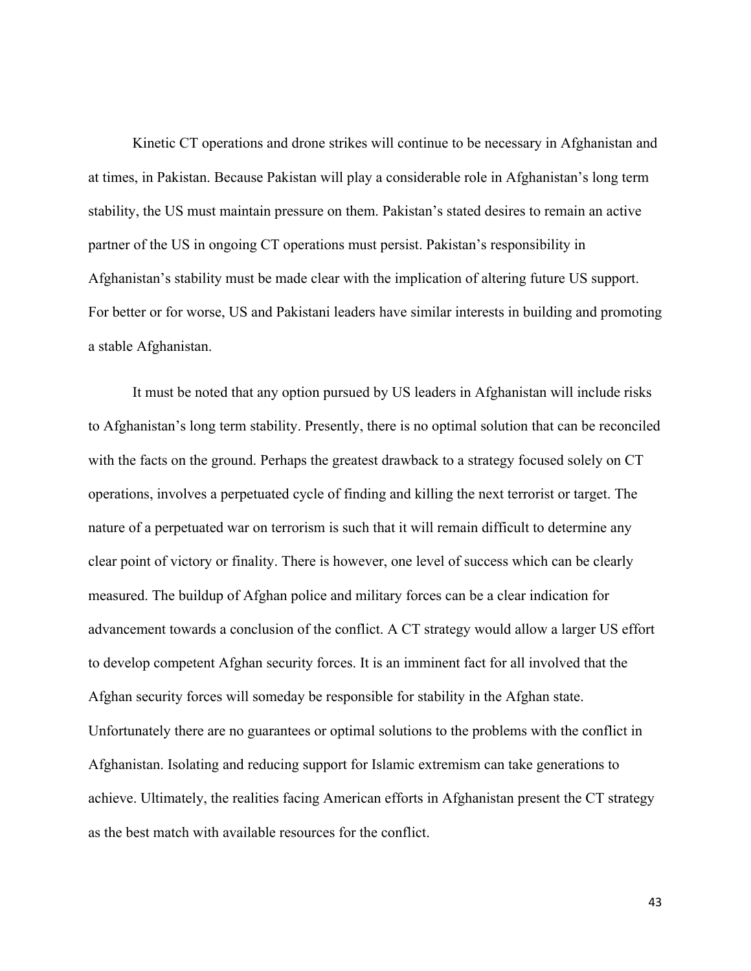Kinetic CT operations and drone strikes will continue to be necessary in Afghanistan and at times, in Pakistan. Because Pakistan will play a considerable role in Afghanistan's long term stability, the US must maintain pressure on them. Pakistan's stated desires to remain an active partner of the US in ongoing CT operations must persist. Pakistan's responsibility in Afghanistan's stability must be made clear with the implication of altering future US support. For better or for worse, US and Pakistani leaders have similar interests in building and promoting a stable Afghanistan.

It must be noted that any option pursued by US leaders in Afghanistan will include risks to Afghanistan's long term stability. Presently, there is no optimal solution that can be reconciled with the facts on the ground. Perhaps the greatest drawback to a strategy focused solely on CT operations, involves a perpetuated cycle of finding and killing the next terrorist or target. The nature of a perpetuated war on terrorism is such that it will remain difficult to determine any clear point of victory or finality. There is however, one level of success which can be clearly measured. The buildup of Afghan police and military forces can be a clear indication for advancement towards a conclusion of the conflict. A CT strategy would allow a larger US effort to develop competent Afghan security forces. It is an imminent fact for all involved that the Afghan security forces will someday be responsible for stability in the Afghan state. Unfortunately there are no guarantees or optimal solutions to the problems with the conflict in Afghanistan. Isolating and reducing support for Islamic extremism can take generations to achieve. Ultimately, the realities facing American efforts in Afghanistan present the CT strategy as the best match with available resources for the conflict.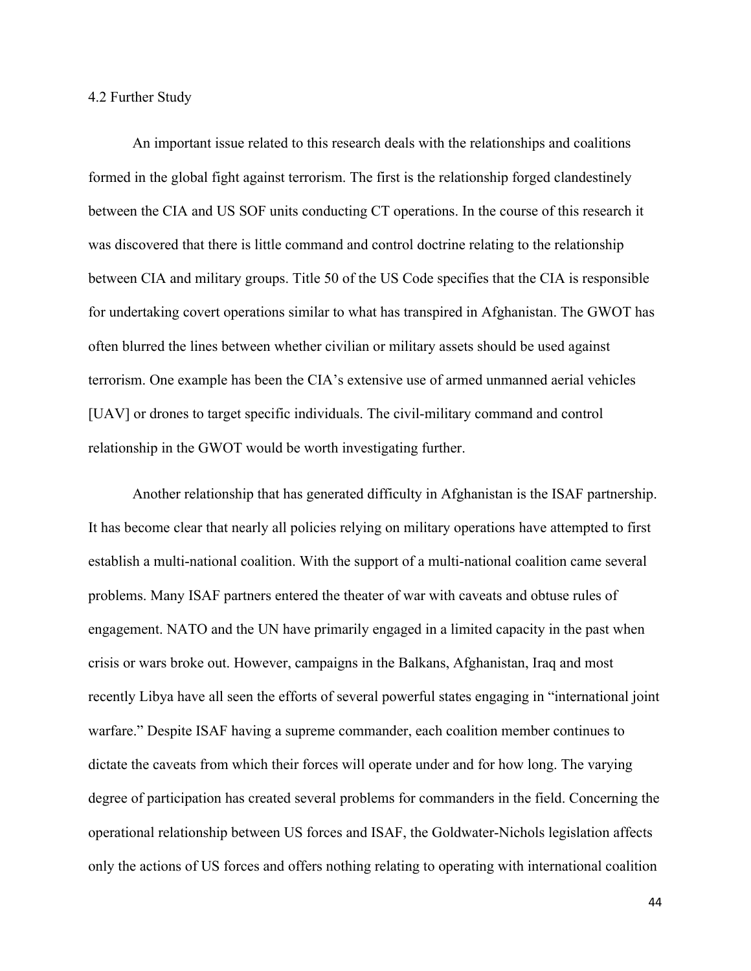4.2 Further Study

An important issue related to this research deals with the relationships and coalitions formed in the global fight against terrorism. The first is the relationship forged clandestinely between the CIA and US SOF units conducting CT operations. In the course of this research it was discovered that there is little command and control doctrine relating to the relationship between CIA and military groups. Title 50 of the US Code specifies that the CIA is responsible for undertaking covert operations similar to what has transpired in Afghanistan. The GWOT has often blurred the lines between whether civilian or military assets should be used against terrorism. One example has been the CIA's extensive use of armed unmanned aerial vehicles [UAV] or drones to target specific individuals. The civil-military command and control relationship in the GWOT would be worth investigating further.

Another relationship that has generated difficulty in Afghanistan is the ISAF partnership. It has become clear that nearly all policies relying on military operations have attempted to first establish a multi-national coalition. With the support of a multi-national coalition came several problems. Many ISAF partners entered the theater of war with caveats and obtuse rules of engagement. NATO and the UN have primarily engaged in a limited capacity in the past when crisis or wars broke out. However, campaigns in the Balkans, Afghanistan, Iraq and most recently Libya have all seen the efforts of several powerful states engaging in "international joint warfare." Despite ISAF having a supreme commander, each coalition member continues to dictate the caveats from which their forces will operate under and for how long. The varying degree of participation has created several problems for commanders in the field. Concerning the operational relationship between US forces and ISAF, the Goldwater-Nichols legislation affects only the actions of US forces and offers nothing relating to operating with international coalition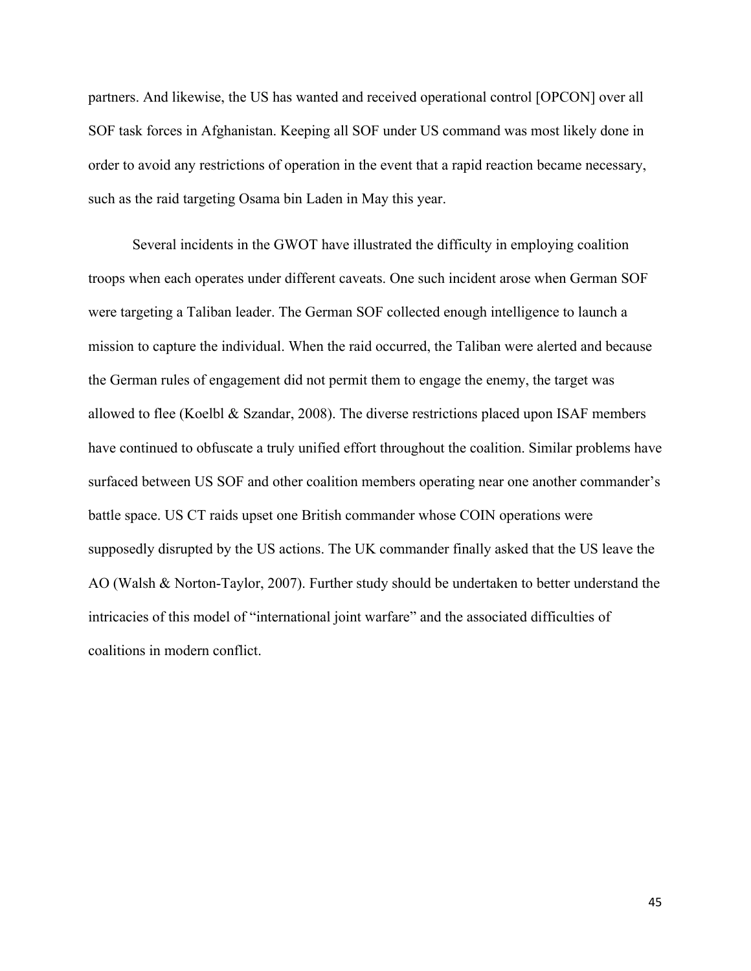partners. And likewise, the US has wanted and received operational control [OPCON] over all SOF task forces in Afghanistan. Keeping all SOF under US command was most likely done in order to avoid any restrictions of operation in the event that a rapid reaction became necessary, such as the raid targeting Osama bin Laden in May this year.

Several incidents in the GWOT have illustrated the difficulty in employing coalition troops when each operates under different caveats. One such incident arose when German SOF were targeting a Taliban leader. The German SOF collected enough intelligence to launch a mission to capture the individual. When the raid occurred, the Taliban were alerted and because the German rules of engagement did not permit them to engage the enemy, the target was allowed to flee (Koelbl & Szandar, 2008). The diverse restrictions placed upon ISAF members have continued to obfuscate a truly unified effort throughout the coalition. Similar problems have surfaced between US SOF and other coalition members operating near one another commander's battle space. US CT raids upset one British commander whose COIN operations were supposedly disrupted by the US actions. The UK commander finally asked that the US leave the AO (Walsh & Norton-Taylor, 2007). Further study should be undertaken to better understand the intricacies of this model of "international joint warfare" and the associated difficulties of coalitions in modern conflict.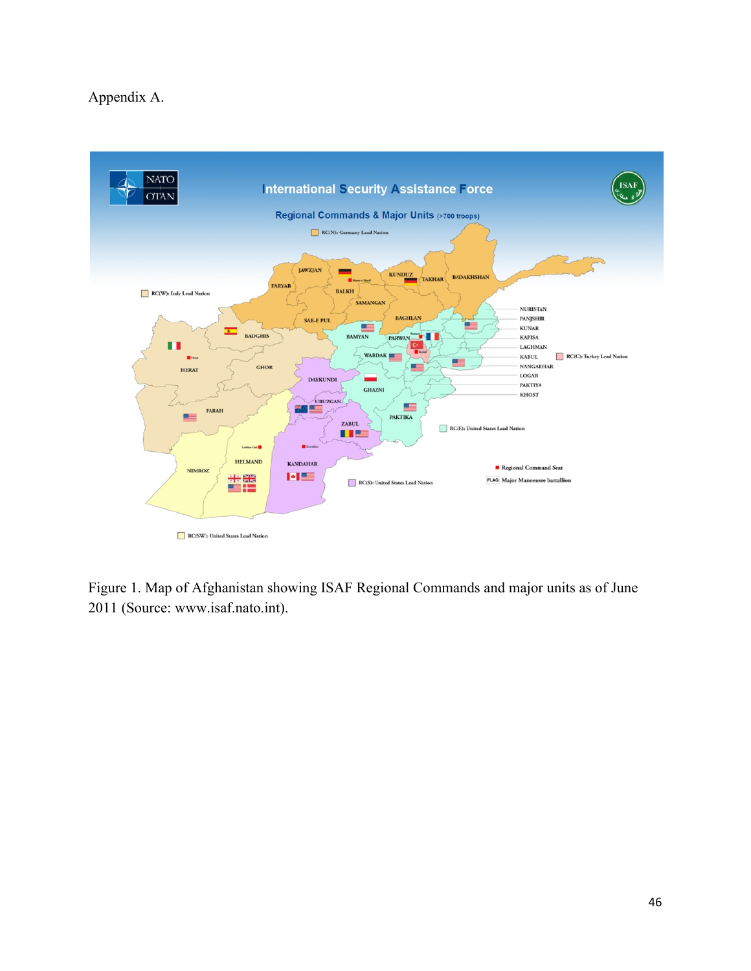### Appendix A.



Figure 1. Map of Afghanistan showing ISAF Regional Commands and major units as of June 2011 (Source: www.isaf.nato.int).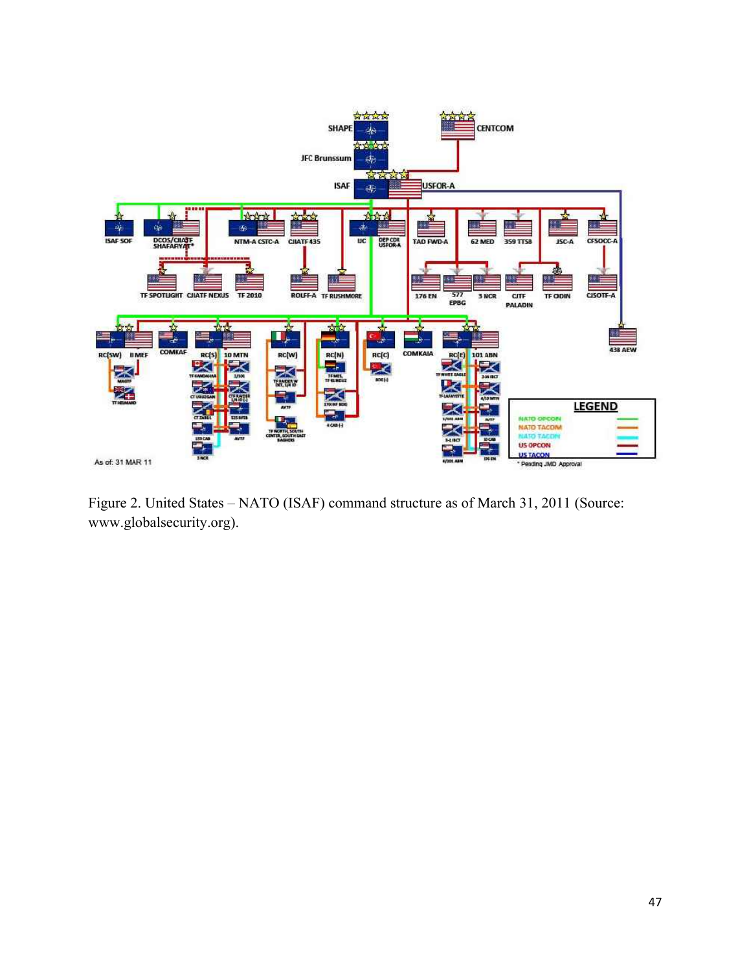

Figure 2. United States – NATO (ISAF) command structure as of March 31, 2011 (Source: www.globalsecurity.org).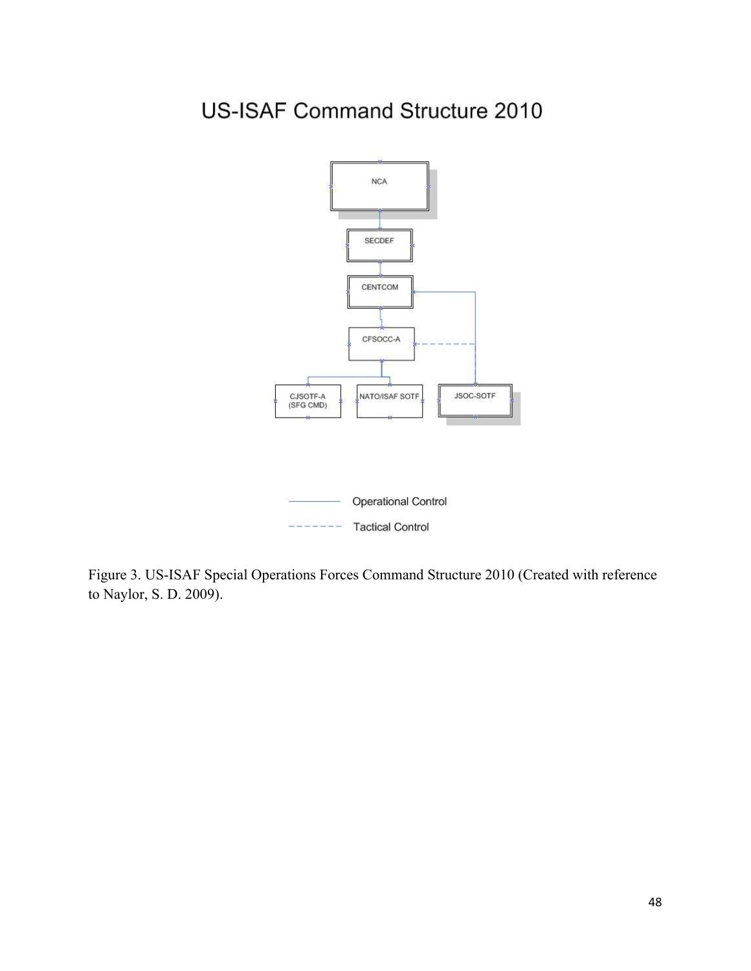# **US-ISAF Command Structure 2010**



Figure 3. US-ISAF Special Operations Forces Command Structure 2010 (Created with reference to Naylor, S. D. 2009).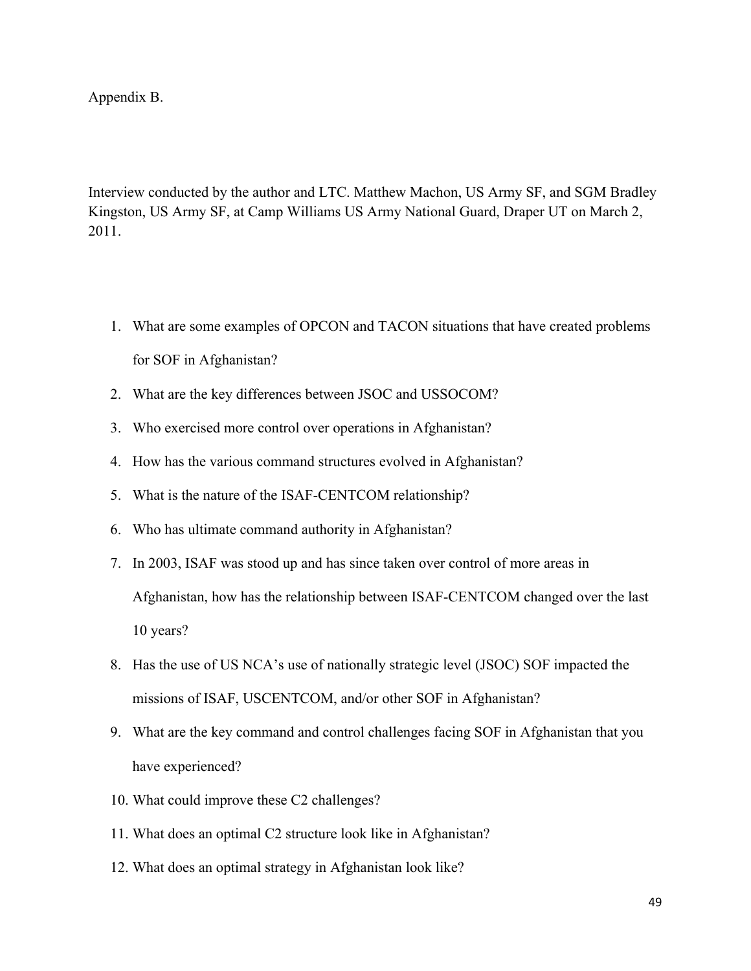Appendix B.

Interview conducted by the author and LTC. Matthew Machon, US Army SF, and SGM Bradley Kingston, US Army SF, at Camp Williams US Army National Guard, Draper UT on March 2, 2011.

- 1. What are some examples of OPCON and TACON situations that have created problems for SOF in Afghanistan?
- 2. What are the key differences between JSOC and USSOCOM?
- 3. Who exercised more control over operations in Afghanistan?
- 4. How has the various command structures evolved in Afghanistan?
- 5. What is the nature of the ISAF-CENTCOM relationship?
- 6. Who has ultimate command authority in Afghanistan?
- 7. In 2003, ISAF was stood up and has since taken over control of more areas in Afghanistan, how has the relationship between ISAF-CENTCOM changed over the last 10 years?
- 8. Has the use of US NCA's use of nationally strategic level (JSOC) SOF impacted the missions of ISAF, USCENTCOM, and/or other SOF in Afghanistan?
- 9. What are the key command and control challenges facing SOF in Afghanistan that you have experienced?
- 10. What could improve these C2 challenges?
- 11. What does an optimal C2 structure look like in Afghanistan?
- 12. What does an optimal strategy in Afghanistan look like?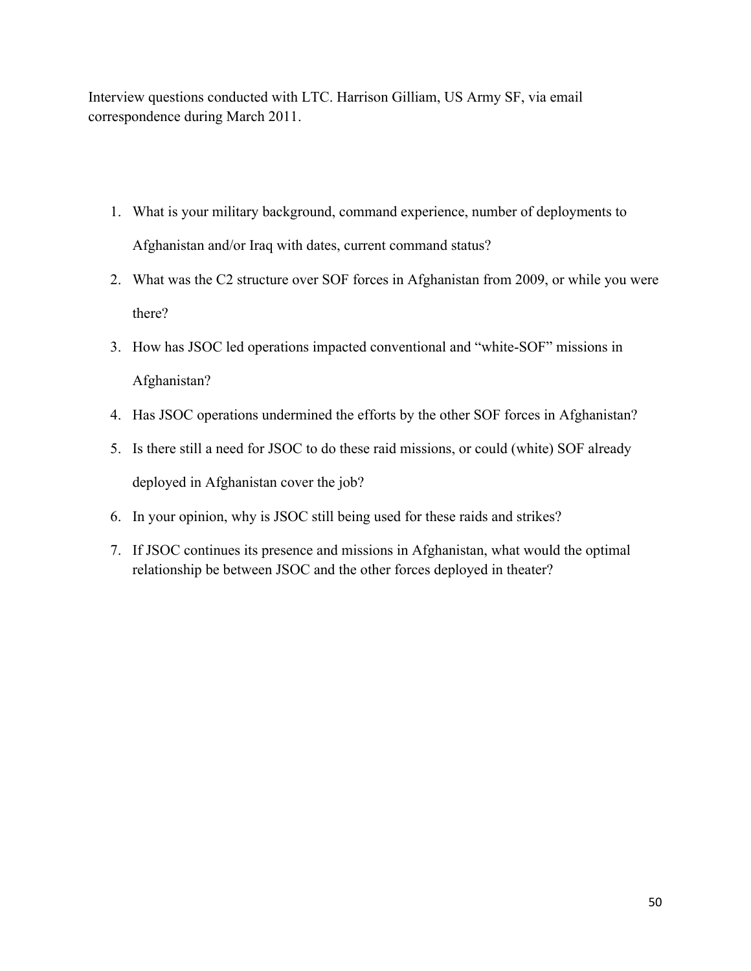Interview questions conducted with LTC. Harrison Gilliam, US Army SF, via email correspondence during March 2011.

- 1. What is your military background, command experience, number of deployments to Afghanistan and/or Iraq with dates, current command status?
- 2. What was the C2 structure over SOF forces in Afghanistan from 2009, or while you were there?
- 3. How has JSOC led operations impacted conventional and "white-SOF" missions in Afghanistan?
- 4. Has JSOC operations undermined the efforts by the other SOF forces in Afghanistan?
- 5. Is there still a need for JSOC to do these raid missions, or could (white) SOF already deployed in Afghanistan cover the job?
- 6. In your opinion, why is JSOC still being used for these raids and strikes?
- 7. If JSOC continues its presence and missions in Afghanistan, what would the optimal relationship be between JSOC and the other forces deployed in theater?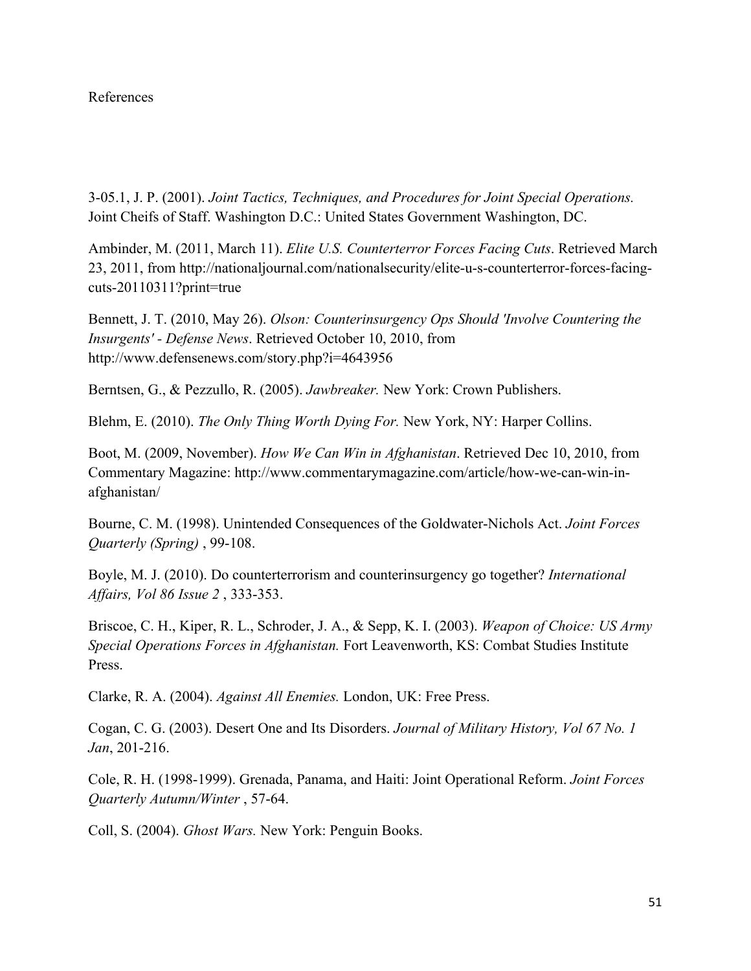#### References

3-05.1, J. P. (2001). *Joint Tactics, Techniques, and Procedures for Joint Special Operations.* Joint Cheifs of Staff. Washington D.C.: United States Government Washington, DC.

Ambinder, M. (2011, March 11). *Elite U.S. Counterterror Forces Facing Cuts*. Retrieved March 23, 2011, from http://nationaljournal.com/nationalsecurity/elite-u-s-counterterror-forces-facingcuts-20110311?print=true

Bennett, J. T. (2010, May 26). *Olson: Counterinsurgency Ops Should 'Involve Countering the Insurgents' - Defense News*. Retrieved October 10, 2010, from http://www.defensenews.com/story.php?i=4643956

Berntsen, G., & Pezzullo, R. (2005). *Jawbreaker.* New York: Crown Publishers.

Blehm, E. (2010). *The Only Thing Worth Dying For.* New York, NY: Harper Collins.

Boot, M. (2009, November). *How We Can Win in Afghanistan*. Retrieved Dec 10, 2010, from Commentary Magazine: http://www.commentarymagazine.com/article/how-we-can-win-inafghanistan/

Bourne, C. M. (1998). Unintended Consequences of the Goldwater-Nichols Act. *Joint Forces Quarterly (Spring)* , 99-108.

Boyle, M. J. (2010). Do counterterrorism and counterinsurgency go together? *International Affairs, Vol 86 Issue 2* , 333-353.

Briscoe, C. H., Kiper, R. L., Schroder, J. A., & Sepp, K. I. (2003). *Weapon of Choice: US Army Special Operations Forces in Afghanistan.* Fort Leavenworth, KS: Combat Studies Institute Press.

Clarke, R. A. (2004). *Against All Enemies.* London, UK: Free Press.

Cogan, C. G. (2003). Desert One and Its Disorders. *Journal of Military History, Vol 67 No. 1 Jan*, 201-216.

Cole, R. H. (1998-1999). Grenada, Panama, and Haiti: Joint Operational Reform. *Joint Forces Quarterly Autumn/Winter* , 57-64.

Coll, S. (2004). *Ghost Wars.* New York: Penguin Books.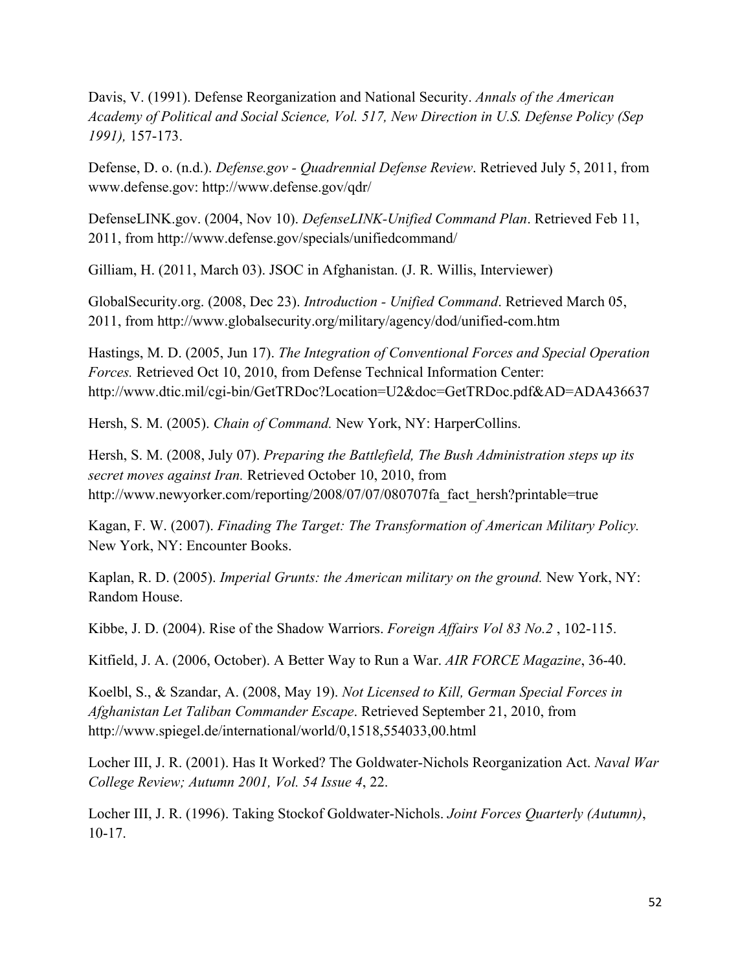Davis, V. (1991). Defense Reorganization and National Security. *Annals of the American Academy of Political and Social Science, Vol. 517, New Direction in U.S. Defense Policy (Sep 1991),* 157-173.

Defense, D. o. (n.d.). *Defense.gov - Quadrennial Defense Review*. Retrieved July 5, 2011, from www.defense.gov: http://www.defense.gov/qdr/

DefenseLINK.gov. (2004, Nov 10). *DefenseLINK-Unified Command Plan*. Retrieved Feb 11, 2011, from http://www.defense.gov/specials/unifiedcommand/

Gilliam, H. (2011, March 03). JSOC in Afghanistan. (J. R. Willis, Interviewer)

GlobalSecurity.org. (2008, Dec 23). *Introduction - Unified Command*. Retrieved March 05, 2011, from http://www.globalsecurity.org/military/agency/dod/unified-com.htm

Hastings, M. D. (2005, Jun 17). *The Integration of Conventional Forces and Special Operation Forces.* Retrieved Oct 10, 2010, from Defense Technical Information Center: http://www.dtic.mil/cgi-bin/GetTRDoc?Location=U2&doc=GetTRDoc.pdf&AD=ADA436637

Hersh, S. M. (2005). *Chain of Command.* New York, NY: HarperCollins.

Hersh, S. M. (2008, July 07). *Preparing the Battlefield, The Bush Administration steps up its secret moves against Iran.* Retrieved October 10, 2010, from http://www.newyorker.com/reporting/2008/07/07/080707fa\_fact\_hersh?printable=true

Kagan, F. W. (2007). *Finading The Target: The Transformation of American Military Policy.* New York, NY: Encounter Books.

Kaplan, R. D. (2005). *Imperial Grunts: the American military on the ground.* New York, NY: Random House.

Kibbe, J. D. (2004). Rise of the Shadow Warriors. *Foreign Affairs Vol 83 No.2* , 102-115.

Kitfield, J. A. (2006, October). A Better Way to Run a War. *AIR FORCE Magazine*, 36-40.

Koelbl, S., & Szandar, A. (2008, May 19). *Not Licensed to Kill, German Special Forces in Afghanistan Let Taliban Commander Escape*. Retrieved September 21, 2010, from http://www.spiegel.de/international/world/0,1518,554033,00.html

Locher III, J. R. (2001). Has It Worked? The Goldwater-Nichols Reorganization Act. *Naval War College Review; Autumn 2001, Vol. 54 Issue 4*, 22.

Locher III, J. R. (1996). Taking Stockof Goldwater-Nichols. *Joint Forces Quarterly (Autumn)*, 10-17.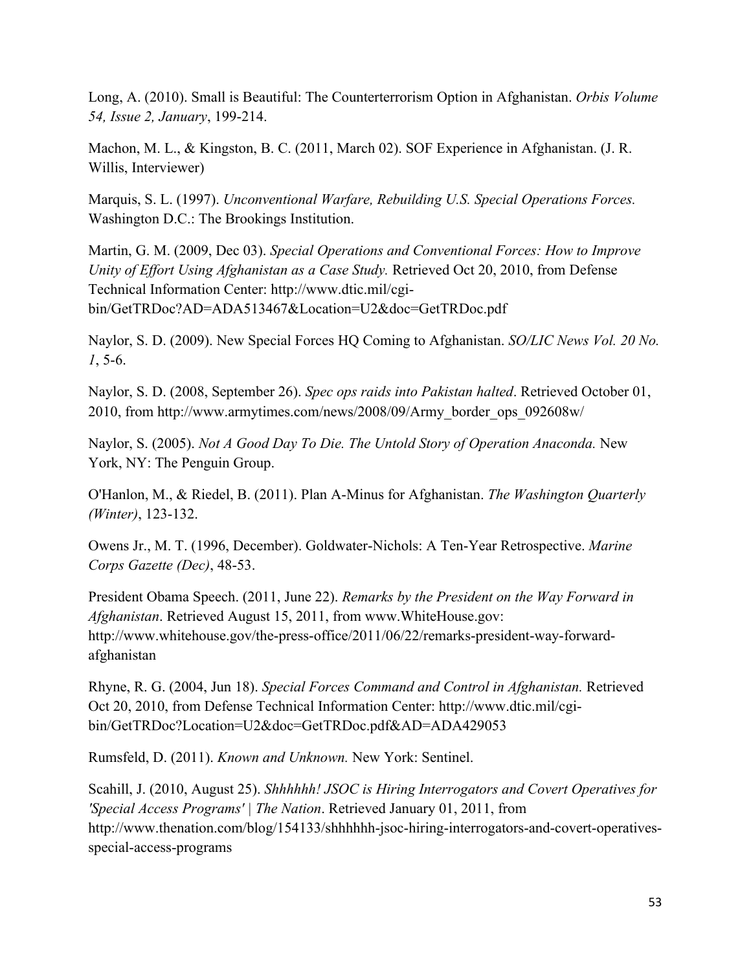Long, A. (2010). Small is Beautiful: The Counterterrorism Option in Afghanistan. *Orbis Volume 54, Issue 2, January*, 199-214.

Machon, M. L., & Kingston, B. C. (2011, March 02). SOF Experience in Afghanistan. (J. R. Willis, Interviewer)

Marquis, S. L. (1997). *Unconventional Warfare, Rebuilding U.S. Special Operations Forces.* Washington D.C.: The Brookings Institution.

Martin, G. M. (2009, Dec 03). *Special Operations and Conventional Forces: How to Improve Unity of Effort Using Afghanistan as a Case Study.* Retrieved Oct 20, 2010, from Defense Technical Information Center: http://www.dtic.mil/cgibin/GetTRDoc?AD=ADA513467&Location=U2&doc=GetTRDoc.pdf

Naylor, S. D. (2009). New Special Forces HQ Coming to Afghanistan. *SO/LIC News Vol. 20 No. 1*, 5-6.

Naylor, S. D. (2008, September 26). *Spec ops raids into Pakistan halted*. Retrieved October 01, 2010, from http://www.armytimes.com/news/2008/09/Army\_border\_ops\_092608w/

Naylor, S. (2005). *Not A Good Day To Die. The Untold Story of Operation Anaconda.* New York, NY: The Penguin Group.

O'Hanlon, M., & Riedel, B. (2011). Plan A-Minus for Afghanistan. *The Washington Quarterly (Winter)*, 123-132.

Owens Jr., M. T. (1996, December). Goldwater-Nichols: A Ten-Year Retrospective. *Marine Corps Gazette (Dec)*, 48-53.

President Obama Speech. (2011, June 22). *Remarks by the President on the Way Forward in Afghanistan*. Retrieved August 15, 2011, from www.WhiteHouse.gov: http://www.whitehouse.gov/the-press-office/2011/06/22/remarks-president-way-forwardafghanistan

Rhyne, R. G. (2004, Jun 18). *Special Forces Command and Control in Afghanistan.* Retrieved Oct 20, 2010, from Defense Technical Information Center: http://www.dtic.mil/cgibin/GetTRDoc?Location=U2&doc=GetTRDoc.pdf&AD=ADA429053

Rumsfeld, D. (2011). *Known and Unknown.* New York: Sentinel.

Scahill, J. (2010, August 25). *Shhhhhh! JSOC is Hiring Interrogators and Covert Operatives for 'Special Access Programs' | The Nation*. Retrieved January 01, 2011, from http://www.thenation.com/blog/154133/shhhhhh-jsoc-hiring-interrogators-and-covert-operativesspecial-access-programs